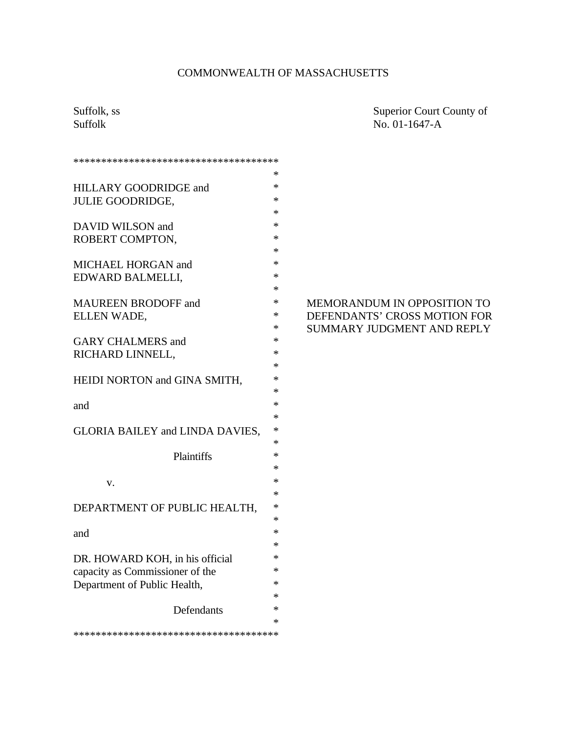# COMMONWEALTH OF MASSACHUSETTS

Suffolk, ss Superior Court County of Suffolk No. 01-1647-A

| ************************************** |             |
|----------------------------------------|-------------|
|                                        | ж           |
| HILLARY GOODRIDGE and                  | *           |
| <b>JULIE GOODRIDGE,</b>                | *           |
|                                        | *           |
| DAVID WILSON and                       | *           |
| ROBERT COMPTON,                        | ∗           |
|                                        | ∗           |
| MICHAEL HORGAN and                     | ∗<br>ж      |
| EDWARD BALMELLI,                       | *           |
| <b>MAUREEN BRODOFF and</b>             | *           |
| ELLEN WADE,                            | ×           |
|                                        | ×           |
| <b>GARY CHALMERS and</b>               | *           |
| RICHARD LINNELL,                       | ∗           |
|                                        | ×           |
| HEIDI NORTON and GINA SMITH,           | *           |
|                                        | *           |
| and                                    | *           |
|                                        | *           |
| <b>GLORIA BAILEY and LINDA DAVIES,</b> | *           |
|                                        | ∗<br>$\ast$ |
| Plaintiffs                             | *           |
|                                        | $\ast$      |
| v.                                     | $\ast$      |
| DEPARTMENT OF PUBLIC HEALTH,           | $\ast$      |
|                                        | *           |
| and                                    | *           |
|                                        | *           |
| DR. HOWARD KOH, in his official        | ∗           |
| capacity as Commissioner of the        | ∗           |
| Department of Public Health,           | ∗           |
|                                        | *           |
| <b>Defendants</b>                      | *           |
| ************************************** | *           |
|                                        |             |

### MEMORANDUM IN OPPOSITION TO DEFENDANTS' CROSS MOTION FOR SUMMARY JUDGMENT AND REPLY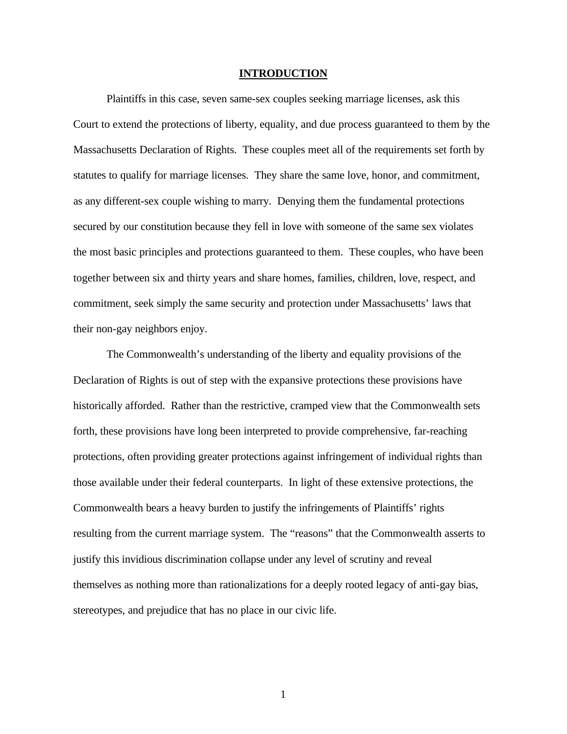#### **INTRODUCTION**

Plaintiffs in this case, seven same-sex couples seeking marriage licenses, ask this Court to extend the protections of liberty, equality, and due process guaranteed to them by the Massachusetts Declaration of Rights. These couples meet all of the requirements set forth by statutes to qualify for marriage licenses. They share the same love, honor, and commitment, as any different-sex couple wishing to marry. Denying them the fundamental protections secured by our constitution because they fell in love with someone of the same sex violates the most basic principles and protections guaranteed to them. These couples, who have been together between six and thirty years and share homes, families, children, love, respect, and commitment, seek simply the same security and protection under Massachusetts' laws that their non-gay neighbors enjoy.

The Commonwealth's understanding of the liberty and equality provisions of the Declaration of Rights is out of step with the expansive protections these provisions have historically afforded. Rather than the restrictive, cramped view that the Commonwealth sets forth, these provisions have long been interpreted to provide comprehensive, far-reaching protections, often providing greater protections against infringement of individual rights than those available under their federal counterparts. In light of these extensive protections, the Commonwealth bears a heavy burden to justify the infringements of Plaintiffs' rights resulting from the current marriage system. The "reasons" that the Commonwealth asserts to justify this invidious discrimination collapse under any level of scrutiny and reveal themselves as nothing more than rationalizations for a deeply rooted legacy of anti-gay bias, stereotypes, and prejudice that has no place in our civic life.

1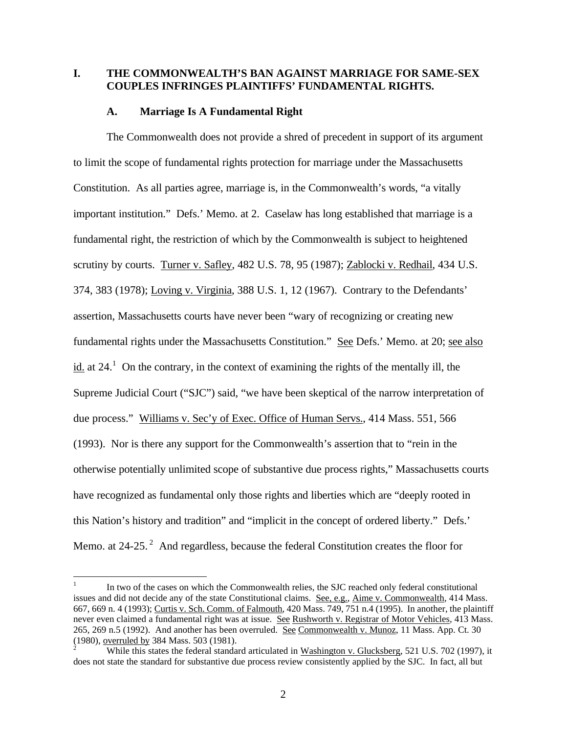### **I. THE COMMONWEALTH'S BAN AGAINST MARRIAGE FOR SAME-SEX COUPLES INFRINGES PLAINTIFFS' FUNDAMENTAL RIGHTS.**

#### **A. Marriage Is A Fundamental Right**

The Commonwealth does not provide a shred of precedent in support of its argument to limit the scope of fundamental rights protection for marriage under the Massachusetts Constitution. As all parties agree, marriage is, in the Commonwealth's words, "a vitally important institution." Defs.' Memo. at 2. Caselaw has long established that marriage is a fundamental right, the restriction of which by the Commonwealth is subject to heightened scrutiny by courts. Turner v. Safley, 482 U.S. 78, 95 (1987); Zablocki v. Redhail, 434 U.S. 374, 383 (1978); Loving v. Virginia, 388 U.S. 1, 12 (1967). Contrary to the Defendants' assertion, Massachusetts courts have never been "wary of recognizing or creating new fundamental rights under the Massachusetts Constitution." See Defs.' Memo. at 20; see also  $\underline{\text{id.}}$  at 24.<sup>1</sup> On the contrary, in the context of examining the rights of the mentally ill, the Supreme Judicial Court ("SJC") said, "we have been skeptical of the narrow interpretation of due process." Williams v. Sec'y of Exec. Office of Human Servs., 414 Mass. 551, 566 (1993). Nor is there any support for the Commonwealth's assertion that to "rein in the otherwise potentially unlimited scope of substantive due process rights," Massachusetts courts have recognized as fundamental only those rights and liberties which are "deeply rooted in this Nation's history and tradition" and "implicit in the concept of ordered liberty." Defs.' Memo. at  $24$ -25.<sup>2</sup> And regardless, because the federal Constitution creates the floor for

 $\frac{1}{1}$ In two of the cases on which the Commonwealth relies, the SJC reached only federal constitutional issues and did not decide any of the state Constitutional claims. See, e.g., Aime v. Commonwealth, 414 Mass. 667, 669 n. 4 (1993); Curtis v. Sch. Comm. of Falmouth, 420 Mass. 749, 751 n.4 (1995). In another, the plaintiff never even claimed a fundamental right was at issue. See Rushworth v. Registrar of Motor Vehicles, 413 Mass. 265, 269 n.5 (1992). And another has been overruled. See Commonwealth v. Munoz, 11 Mass. App. Ct. 30 (1980), overruled by 384 Mass. 503 (1981).

<sup>2</sup> While this states the federal standard articulated in Washington v. Glucksberg, 521 U.S. 702 (1997), it does not state the standard for substantive due process review consistently applied by the SJC. In fact, all but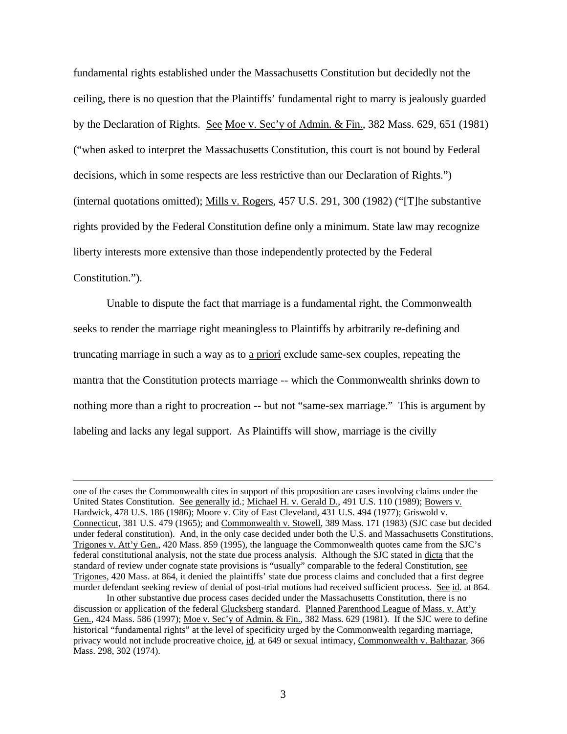fundamental rights established under the Massachusetts Constitution but decidedly not the ceiling, there is no question that the Plaintiffs' fundamental right to marry is jealously guarded by the Declaration of Rights. See Moe v. Sec'y of Admin. & Fin., 382 Mass. 629, 651 (1981) ("when asked to interpret the Massachusetts Constitution, this court is not bound by Federal decisions, which in some respects are less restrictive than our Declaration of Rights.") (internal quotations omitted); Mills v. Rogers, 457 U.S. 291, 300 (1982) ("[T]he substantive rights provided by the Federal Constitution define only a minimum. State law may recognize liberty interests more extensive than those independently protected by the Federal Constitution.").

Unable to dispute the fact that marriage is a fundamental right, the Commonwealth seeks to render the marriage right meaningless to Plaintiffs by arbitrarily re-defining and truncating marriage in such a way as to a priori exclude same-sex couples, repeating the mantra that the Constitution protects marriage -- which the Commonwealth shrinks down to nothing more than a right to procreation -- but not "same-sex marriage." This is argument by labeling and lacks any legal support. As Plaintiffs will show, marriage is the civilly

 $\overline{a}$ 

one of the cases the Commonwealth cites in support of this proposition are cases involving claims under the United States Constitution. See generally id.; Michael H. v. Gerald D., 491 U.S. 110 (1989); Bowers v. Hardwick, 478 U.S. 186 (1986); Moore v. City of East Cleveland, 431 U.S. 494 (1977); Griswold v. Connecticut, 381 U.S. 479 (1965); and Commonwealth v. Stowell, 389 Mass. 171 (1983) (SJC case but decided under federal constitution). And, in the only case decided under both the U.S. and Massachusetts Constitutions, Trigones v. Att'y Gen., 420 Mass. 859 (1995), the language the Commonwealth quotes came from the SJC's federal constitutional analysis, not the state due process analysis. Although the SJC stated in dicta that the standard of review under cognate state provisions is "usually" comparable to the federal Constitution, see Trigones, 420 Mass. at 864, it denied the plaintiffs' state due process claims and concluded that a first degree murder defendant seeking review of denial of post-trial motions had received sufficient process. See id. at 864.

In other substantive due process cases decided under the Massachusetts Constitution, there is no discussion or application of the federal Glucksberg standard. Planned Parenthood League of Mass. v. Att'y Gen., 424 Mass. 586 (1997); Moe v. Sec'y of Admin. & Fin., 382 Mass. 629 (1981). If the SJC were to define historical "fundamental rights" at the level of specificity urged by the Commonwealth regarding marriage, privacy would not include procreative choice, id. at 649 or sexual intimacy, Commonwealth v. Balthazar, 366 Mass. 298, 302 (1974).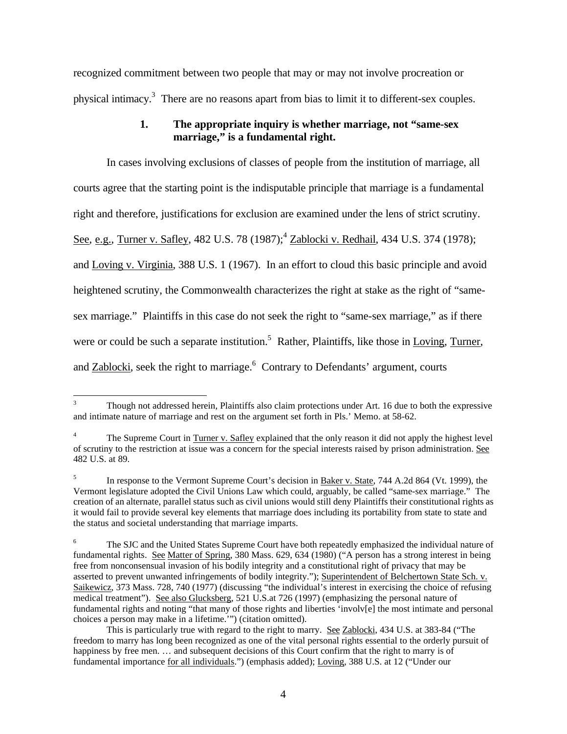recognized commitment between two people that may or may not involve procreation or physical intimacy.<sup>3</sup> There are no reasons apart from bias to limit it to different-sex couples.

## **1. The appropriate inquiry is whether marriage, not "same-sex marriage," is a fundamental right.**

In cases involving exclusions of classes of people from the institution of marriage, all courts agree that the starting point is the indisputable principle that marriage is a fundamental right and therefore, justifications for exclusion are examined under the lens of strict scrutiny. See, e.g., Turner v. Safley, 482 U.S. 78 (1987);<sup>4</sup> Zablocki v. Redhail, 434 U.S. 374 (1978); and Loving v. Virginia, 388 U.S. 1 (1967). In an effort to cloud this basic principle and avoid heightened scrutiny, the Commonwealth characterizes the right at stake as the right of "samesex marriage." Plaintiffs in this case do not seek the right to "same-sex marriage," as if there were or could be such a separate institution.<sup>5</sup> Rather, Plaintiffs, like those in Loving, Turner, and **Zablocki**, seek the right to marriage.<sup>6</sup> Contrary to Defendants' argument, courts

 $\overline{3}$ <sup>3</sup> Though not addressed herein, Plaintiffs also claim protections under Art. 16 due to both the expressive and intimate nature of marriage and rest on the argument set forth in Pls.' Memo. at 58-62.

<sup>&</sup>lt;sup>4</sup> The Supreme Court in Turner v. Safley explained that the only reason it did not apply the highest level of scrutiny to the restriction at issue was a concern for the special interests raised by prison administration. See 482 U.S. at 89.

<sup>5</sup> In response to the Vermont Supreme Court's decision in Baker v. State, 744 A.2d 864 (Vt. 1999), the Vermont legislature adopted the Civil Unions Law which could, arguably, be called "same-sex marriage." The creation of an alternate, parallel status such as civil unions would still deny Plaintiffs their constitutional rights as it would fail to provide several key elements that marriage does including its portability from state to state and the status and societal understanding that marriage imparts.

<sup>&</sup>lt;sup>6</sup> The SJC and the United States Supreme Court have both repeatedly emphasized the individual nature of fundamental rights. See Matter of Spring, 380 Mass. 629, 634 (1980) ("A person has a strong interest in being free from nonconsensual invasion of his bodily integrity and a constitutional right of privacy that may be asserted to prevent unwanted infringements of bodily integrity."); Superintendent of Belchertown State Sch. v. Saikewicz, 373 Mass. 728, 740 (1977) (discussing "the individual's interest in exercising the choice of refusing medical treatment"). See also Glucksberg, 521 U.S.at 726 (1997) (emphasizing the personal nature of fundamental rights and noting "that many of those rights and liberties 'involv[e] the most intimate and personal choices a person may make in a lifetime.'") (citation omitted).

This is particularly true with regard to the right to marry. See Zablocki, 434 U.S. at 383-84 ("The freedom to marry has long been recognized as one of the vital personal rights essential to the orderly pursuit of happiness by free men. ... and subsequent decisions of this Court confirm that the right to marry is of fundamental importance for all individuals.") (emphasis added); Loving, 388 U.S. at 12 ("Under our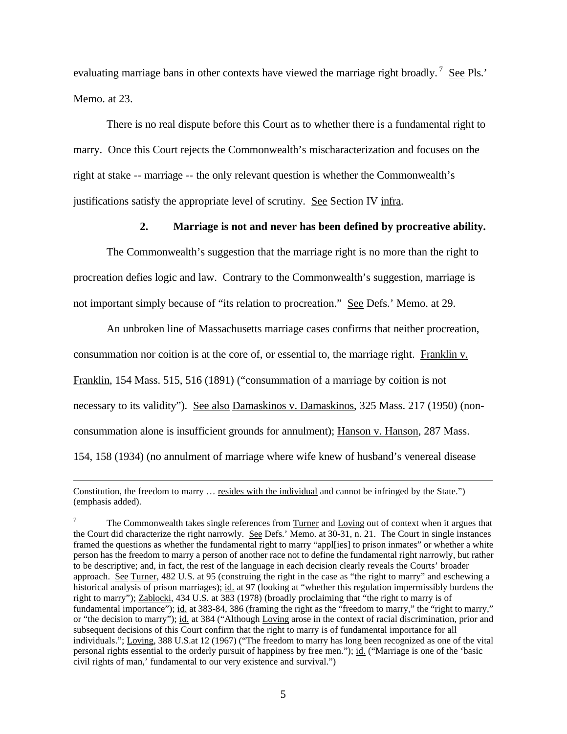evaluating marriage bans in other contexts have viewed the marriage right broadly.<sup>7</sup> See Pls.' Memo. at 23.

There is no real dispute before this Court as to whether there is a fundamental right to marry. Once this Court rejects the Commonwealth's mischaracterization and focuses on the right at stake -- marriage -- the only relevant question is whether the Commonwealth's justifications satisfy the appropriate level of scrutiny. See Section IV infra.

#### **2. Marriage is not and never has been defined by procreative ability.**

The Commonwealth's suggestion that the marriage right is no more than the right to procreation defies logic and law. Contrary to the Commonwealth's suggestion, marriage is not important simply because of "its relation to procreation." See Defs.' Memo. at 29.

An unbroken line of Massachusetts marriage cases confirms that neither procreation, consummation nor coition is at the core of, or essential to, the marriage right. Franklin v. Franklin, 154 Mass. 515, 516 (1891) ("consummation of a marriage by coition is not necessary to its validity"). See also Damaskinos v. Damaskinos, 325 Mass. 217 (1950) (nonconsummation alone is insufficient grounds for annulment); Hanson v. Hanson, 287 Mass. 154, 158 (1934) (no annulment of marriage where wife knew of husband's venereal disease

 $\overline{a}$ 

Constitution, the freedom to marry … resides with the individual and cannot be infringed by the State.") (emphasis added).

<sup>7</sup> The Commonwealth takes single references from Turner and Loving out of context when it argues that the Court did characterize the right narrowly. See Defs.' Memo. at 30-31, n. 21. The Court in single instances framed the questions as whether the fundamental right to marry "appl[ies] to prison inmates" or whether a white person has the freedom to marry a person of another race not to define the fundamental right narrowly, but rather to be descriptive; and, in fact, the rest of the language in each decision clearly reveals the Courts' broader approach. See Turner, 482 U.S. at 95 (construing the right in the case as "the right to marry" and eschewing a historical analysis of prison marriages); id. at 97 (looking at "whether this regulation impermissibly burdens the right to marry"); Zablocki, 434 U.S. at 383 (1978) (broadly proclaiming that "the right to marry is of fundamental importance"); id. at 383-84, 386 (framing the right as the "freedom to marry," the "right to marry," or "the decision to marry"); id. at 384 ("Although Loving arose in the context of racial discrimination, prior and subsequent decisions of this Court confirm that the right to marry is of fundamental importance for all individuals."; Loving, 388 U.S.at 12 (1967) ("The freedom to marry has long been recognized as one of the vital personal rights essential to the orderly pursuit of happiness by free men."); id. ("Marriage is one of the 'basic civil rights of man,' fundamental to our very existence and survival.")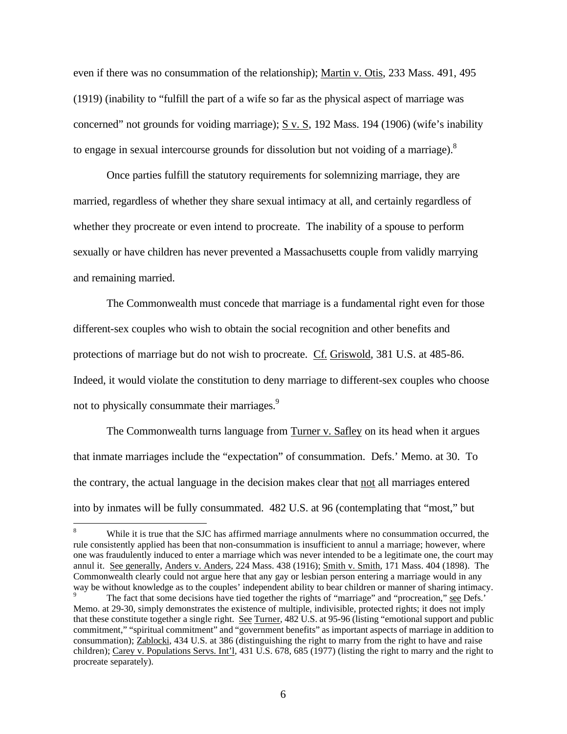even if there was no consummation of the relationship); Martin v. Otis, 233 Mass. 491, 495 (1919) (inability to "fulfill the part of a wife so far as the physical aspect of marriage was concerned" not grounds for voiding marriage); S v. S, 192 Mass. 194 (1906) (wife's inability to engage in sexual intercourse grounds for dissolution but not voiding of a marriage). $8$ 

Once parties fulfill the statutory requirements for solemnizing marriage, they are married, regardless of whether they share sexual intimacy at all, and certainly regardless of whether they procreate or even intend to procreate. The inability of a spouse to perform sexually or have children has never prevented a Massachusetts couple from validly marrying and remaining married.

The Commonwealth must concede that marriage is a fundamental right even for those different-sex couples who wish to obtain the social recognition and other benefits and protections of marriage but do not wish to procreate. Cf. Griswold, 381 U.S. at 485-86. Indeed, it would violate the constitution to deny marriage to different-sex couples who choose not to physically consummate their marriages.<sup>9</sup>

The Commonwealth turns language from Turner v. Safley on its head when it argues that inmate marriages include the "expectation" of consummation. Defs.' Memo. at 30. To the contrary, the actual language in the decision makes clear that not all marriages entered into by inmates will be fully consummated. 482 U.S. at 96 (contemplating that "most," but

 $\mathbf{R}$ While it is true that the SJC has affirmed marriage annulments where no consummation occurred, the rule consistently applied has been that non-consummation is insufficient to annul a marriage; however, where one was fraudulently induced to enter a marriage which was never intended to be a legitimate one, the court may annul it. See generally, Anders v. Anders, 224 Mass. 438 (1916); Smith v. Smith, 171 Mass. 404 (1898). The Commonwealth clearly could not argue here that any gay or lesbian person entering a marriage would in any way be without knowledge as to the couples' independent ability to bear children or manner of sharing intimacy.

The fact that some decisions have tied together the rights of "marriage" and "procreation," see Defs.' Memo. at 29-30, simply demonstrates the existence of multiple, indivisible, protected rights; it does not imply that these constitute together a single right. See Turner, 482 U.S. at 95-96 (listing "emotional support and public commitment," "spiritual commitment" and "government benefits" as important aspects of marriage in addition to consummation); Zablocki, 434 U.S. at 386 (distinguishing the right to marry from the right to have and raise children); Carey v. Populations Servs. Int'l, 431 U.S. 678, 685 (1977) (listing the right to marry and the right to procreate separately).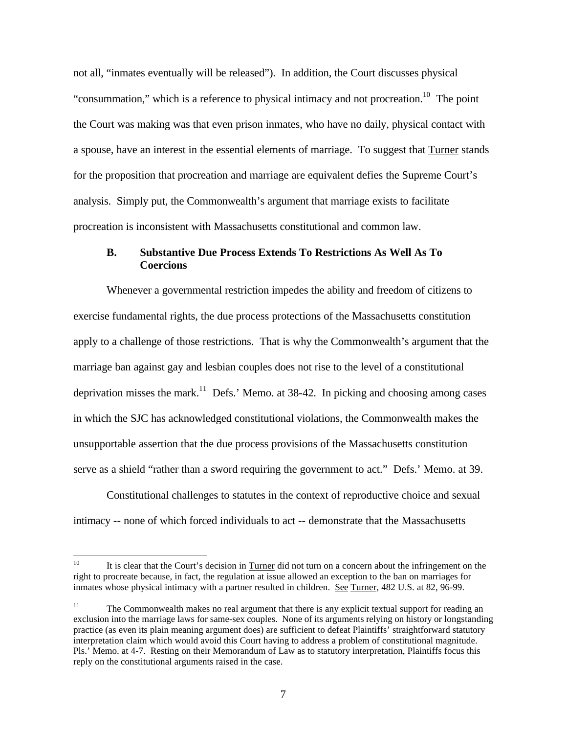not all, "inmates eventually will be released"). In addition, the Court discusses physical "consummation," which is a reference to physical intimacy and not procreation.<sup>10</sup> The point the Court was making was that even prison inmates, who have no daily, physical contact with a spouse, have an interest in the essential elements of marriage. To suggest that Turner stands for the proposition that procreation and marriage are equivalent defies the Supreme Court's analysis. Simply put, the Commonwealth's argument that marriage exists to facilitate procreation is inconsistent with Massachusetts constitutional and common law.

## **B. Substantive Due Process Extends To Restrictions As Well As To Coercions**

Whenever a governmental restriction impedes the ability and freedom of citizens to exercise fundamental rights, the due process protections of the Massachusetts constitution apply to a challenge of those restrictions. That is why the Commonwealth's argument that the marriage ban against gay and lesbian couples does not rise to the level of a constitutional deprivation misses the mark.<sup>11</sup> Defs.' Memo. at 38-42. In picking and choosing among cases in which the SJC has acknowledged constitutional violations, the Commonwealth makes the unsupportable assertion that the due process provisions of the Massachusetts constitution serve as a shield "rather than a sword requiring the government to act." Defs.' Memo. at 39.

Constitutional challenges to statutes in the context of reproductive choice and sexual intimacy -- none of which forced individuals to act -- demonstrate that the Massachusetts

 $10<sup>10</sup>$ It is clear that the Court's decision in Turner did not turn on a concern about the infringement on the right to procreate because, in fact, the regulation at issue allowed an exception to the ban on marriages for inmates whose physical intimacy with a partner resulted in children. See Turner, 482 U.S. at 82, 96-99.

<sup>&</sup>lt;sup>11</sup> The Commonwealth makes no real argument that there is any explicit textual support for reading an exclusion into the marriage laws for same-sex couples. None of its arguments relying on history or longstanding practice (as even its plain meaning argument does) are sufficient to defeat Plaintiffs' straightforward statutory interpretation claim which would avoid this Court having to address a problem of constitutional magnitude. Pls.' Memo. at 4-7. Resting on their Memorandum of Law as to statutory interpretation, Plaintiffs focus this reply on the constitutional arguments raised in the case.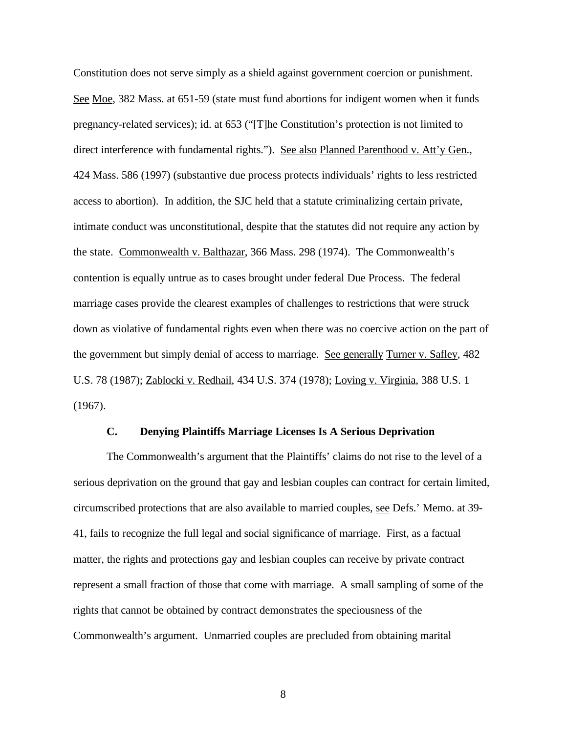Constitution does not serve simply as a shield against government coercion or punishment. See Moe, 382 Mass. at 651-59 (state must fund abortions for indigent women when it funds pregnancy-related services); id. at 653 ("[T]he Constitution's protection is not limited to direct interference with fundamental rights."). See also Planned Parenthood v. Att'y Gen., 424 Mass. 586 (1997) (substantive due process protects individuals' rights to less restricted access to abortion). In addition, the SJC held that a statute criminalizing certain private, intimate conduct was unconstitutional, despite that the statutes did not require any action by the state. Commonwealth v. Balthazar, 366 Mass. 298 (1974). The Commonwealth's contention is equally untrue as to cases brought under federal Due Process. The federal marriage cases provide the clearest examples of challenges to restrictions that were struck down as violative of fundamental rights even when there was no coercive action on the part of the government but simply denial of access to marriage. See generally Turner v. Safley, 482 U.S. 78 (1987); Zablocki v. Redhail, 434 U.S. 374 (1978); Loving v. Virginia, 388 U.S. 1 (1967).

#### **C. Denying Plaintiffs Marriage Licenses Is A Serious Deprivation**

The Commonwealth's argument that the Plaintiffs' claims do not rise to the level of a serious deprivation on the ground that gay and lesbian couples can contract for certain limited, circumscribed protections that are also available to married couples, see Defs.' Memo. at 39- 41, fails to recognize the full legal and social significance of marriage. First, as a factual matter, the rights and protections gay and lesbian couples can receive by private contract represent a small fraction of those that come with marriage. A small sampling of some of the rights that cannot be obtained by contract demonstrates the speciousness of the Commonwealth's argument. Unmarried couples are precluded from obtaining marital

8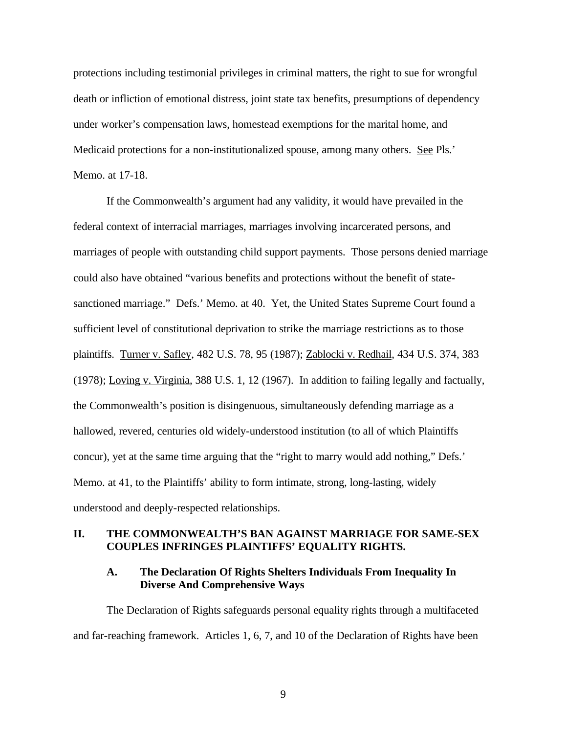protections including testimonial privileges in criminal matters, the right to sue for wrongful death or infliction of emotional distress, joint state tax benefits, presumptions of dependency under worker's compensation laws, homestead exemptions for the marital home, and Medicaid protections for a non-institutionalized spouse, among many others. See Pls.' Memo. at 17-18.

If the Commonwealth's argument had any validity, it would have prevailed in the federal context of interracial marriages, marriages involving incarcerated persons, and marriages of people with outstanding child support payments. Those persons denied marriage could also have obtained "various benefits and protections without the benefit of statesanctioned marriage." Defs.' Memo. at 40. Yet, the United States Supreme Court found a sufficient level of constitutional deprivation to strike the marriage restrictions as to those plaintiffs. Turner v. Safley, 482 U.S. 78, 95 (1987); Zablocki v. Redhail, 434 U.S. 374, 383 (1978); Loving v. Virginia, 388 U.S. 1, 12 (1967). In addition to failing legally and factually, the Commonwealth's position is disingenuous, simultaneously defending marriage as a hallowed, revered, centuries old widely-understood institution (to all of which Plaintiffs concur), yet at the same time arguing that the "right to marry would add nothing," Defs.' Memo. at 41, to the Plaintiffs' ability to form intimate, strong, long-lasting, widely understood and deeply-respected relationships.

#### **II. THE COMMONWEALTH'S BAN AGAINST MARRIAGE FOR SAME-SEX COUPLES INFRINGES PLAINTIFFS' EQUALITY RIGHTS.**

## **A. The Declaration Of Rights Shelters Individuals From Inequality In Diverse And Comprehensive Ways**

The Declaration of Rights safeguards personal equality rights through a multifaceted and far-reaching framework. Articles 1, 6, 7, and 10 of the Declaration of Rights have been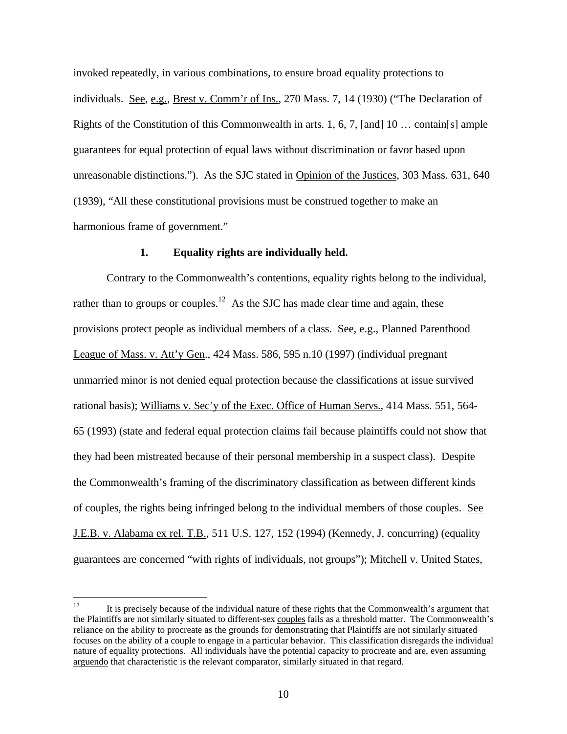invoked repeatedly, in various combinations, to ensure broad equality protections to individuals. See, e.g., Brest v. Comm'r of Ins., 270 Mass. 7, 14 (1930) ("The Declaration of Rights of the Constitution of this Commonwealth in arts. 1, 6, 7, [and] 10 ... contain[s] ample guarantees for equal protection of equal laws without discrimination or favor based upon unreasonable distinctions."). As the SJC stated in Opinion of the Justices, 303 Mass. 631, 640 (1939), "All these constitutional provisions must be construed together to make an harmonious frame of government."

#### **1. Equality rights are individually held.**

Contrary to the Commonwealth's contentions, equality rights belong to the individual, rather than to groups or couples.<sup>12</sup> As the SJC has made clear time and again, these provisions protect people as individual members of a class. See, e.g., Planned Parenthood League of Mass. v. Att'y Gen., 424 Mass. 586, 595 n.10 (1997) (individual pregnant unmarried minor is not denied equal protection because the classifications at issue survived rational basis); Williams v. Sec'y of the Exec. Office of Human Servs., 414 Mass. 551, 564- 65 (1993) (state and federal equal protection claims fail because plaintiffs could not show that they had been mistreated because of their personal membership in a suspect class). Despite the Commonwealth's framing of the discriminatory classification as between different kinds of couples, the rights being infringed belong to the individual members of those couples. See J.E.B. v. Alabama ex rel. T.B., 511 U.S. 127, 152 (1994) (Kennedy, J. concurring) (equality guarantees are concerned "with rights of individuals, not groups"); Mitchell v. United States,

 $12$ <sup>12</sup> It is precisely because of the individual nature of these rights that the Commonwealth's argument that the Plaintiffs are not similarly situated to different-sex couples fails as a threshold matter. The Commonwealth's reliance on the ability to procreate as the grounds for demonstrating that Plaintiffs are not similarly situated focuses on the ability of a couple to engage in a particular behavior. This classification disregards the individual nature of equality protections. All individuals have the potential capacity to procreate and are, even assuming arguendo that characteristic is the relevant comparator, similarly situated in that regard.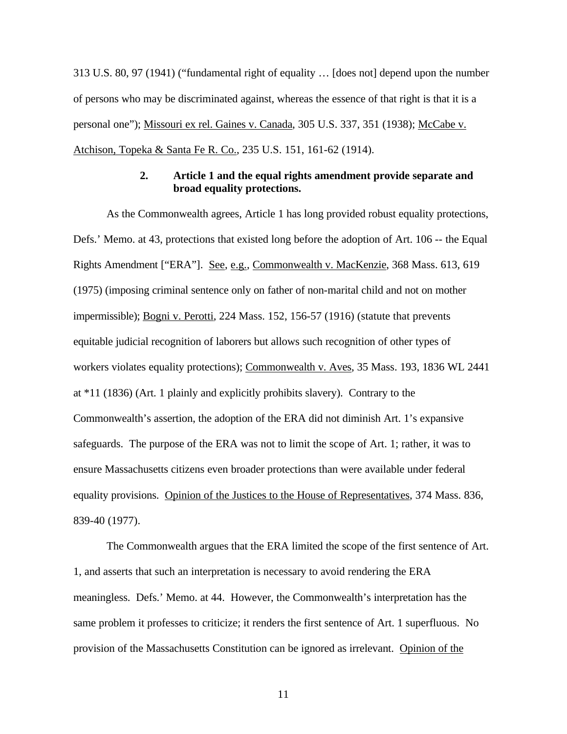313 U.S. 80, 97 (1941) ("fundamental right of equality … [does not] depend upon the number of persons who may be discriminated against, whereas the essence of that right is that it is a personal one"); Missouri ex rel. Gaines v. Canada, 305 U.S. 337, 351 (1938); McCabe v. Atchison, Topeka & Santa Fe R. Co., 235 U.S. 151, 161-62 (1914).

#### **2. Article 1 and the equal rights amendment provide separate and broad equality protections.**

As the Commonwealth agrees, Article 1 has long provided robust equality protections, Defs.' Memo. at 43, protections that existed long before the adoption of Art. 106 -- the Equal Rights Amendment ["ERA"]. See, e.g., Commonwealth v. MacKenzie, 368 Mass. 613, 619 (1975) (imposing criminal sentence only on father of non-marital child and not on mother impermissible); <u>Bogni v. Perotti</u>, 224 Mass. 152, 156-57 (1916) (statute that prevents equitable judicial recognition of laborers but allows such recognition of other types of workers violates equality protections); Commonwealth v. Aves, 35 Mass. 193, 1836 WL 2441 at \*11 (1836) (Art. 1 plainly and explicitly prohibits slavery). Contrary to the Commonwealth's assertion, the adoption of the ERA did not diminish Art. 1's expansive safeguards. The purpose of the ERA was not to limit the scope of Art. 1; rather, it was to ensure Massachusetts citizens even broader protections than were available under federal equality provisions. Opinion of the Justices to the House of Representatives, 374 Mass. 836, 839-40 (1977).

The Commonwealth argues that the ERA limited the scope of the first sentence of Art. 1, and asserts that such an interpretation is necessary to avoid rendering the ERA meaningless. Defs.' Memo. at 44. However, the Commonwealth's interpretation has the same problem it professes to criticize; it renders the first sentence of Art. 1 superfluous. No provision of the Massachusetts Constitution can be ignored as irrelevant. Opinion of the

11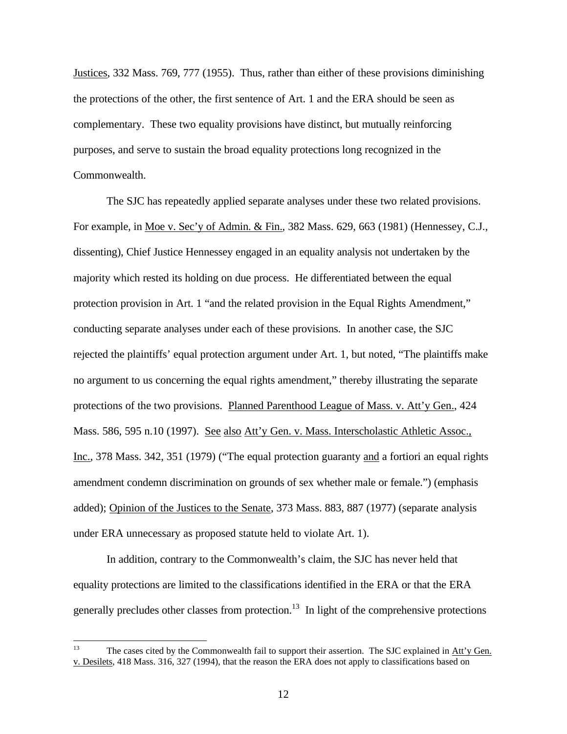Justices, 332 Mass. 769, 777 (1955). Thus, rather than either of these provisions diminishing the protections of the other, the first sentence of Art. 1 and the ERA should be seen as complementary. These two equality provisions have distinct, but mutually reinforcing purposes, and serve to sustain the broad equality protections long recognized in the Commonwealth.

The SJC has repeatedly applied separate analyses under these two related provisions. For example, in <u>Moe v. Sec'y of Admin. & Fin.</u>, 382 Mass. 629, 663 (1981) (Hennessey, C.J., dissenting), Chief Justice Hennessey engaged in an equality analysis not undertaken by the majority which rested its holding on due process. He differentiated between the equal protection provision in Art. 1 "and the related provision in the Equal Rights Amendment," conducting separate analyses under each of these provisions. In another case, the SJC rejected the plaintiffs' equal protection argument under Art. 1, but noted, "The plaintiffs make no argument to us concerning the equal rights amendment," thereby illustrating the separate protections of the two provisions. Planned Parenthood League of Mass. v. Att'y Gen., 424 Mass. 586, 595 n.10 (1997). See also Att'y Gen. v. Mass. Interscholastic Athletic Assoc., Inc., 378 Mass. 342, 351 (1979) ("The equal protection guaranty and a fortiori an equal rights amendment condemn discrimination on grounds of sex whether male or female.") (emphasis added); Opinion of the Justices to the Senate, 373 Mass. 883, 887 (1977) (separate analysis under ERA unnecessary as proposed statute held to violate Art. 1).

In addition, contrary to the Commonwealth's claim, the SJC has never held that equality protections are limited to the classifications identified in the ERA or that the ERA generally precludes other classes from protection.<sup>13</sup> In light of the comprehensive protections

 $13$ The cases cited by the Commonwealth fail to support their assertion. The SJC explained in Att'y Gen. v. Desilets, 418 Mass. 316, 327 (1994), that the reason the ERA does not apply to classifications based on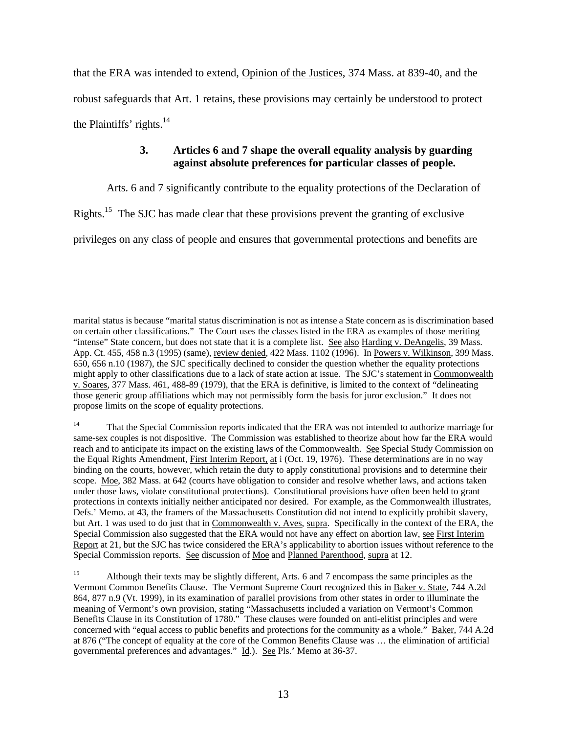that the ERA was intended to extend, Opinion of the Justices, 374 Mass. at 839-40, and the robust safeguards that Art. 1 retains, these provisions may certainly be understood to protect the Plaintiffs' rights. $^{14}$ 

## **3. Articles 6 and 7 shape the overall equality analysis by guarding against absolute preferences for particular classes of people.**

Arts. 6 and 7 significantly contribute to the equality protections of the Declaration of

Rights.<sup>15</sup> The SJC has made clear that these provisions prevent the granting of exclusive

privileges on any class of people and ensures that governmental protections and benefits are

 $\overline{a}$ marital status is because "marital status discrimination is not as intense a State concern as is discrimination based on certain other classifications." The Court uses the classes listed in the ERA as examples of those meriting "intense" State concern, but does not state that it is a complete list. See also Harding v. DeAngelis, 39 Mass. App. Ct. 455, 458 n.3 (1995) (same), review denied, 422 Mass. 1102 (1996). In Powers v. Wilkinson, 399 Mass. 650, 656 n.10 (1987), the SJC specifically declined to consider the question whether the equality protections might apply to other classifications due to a lack of state action at issue. The SJC's statement in Commonwealth v. Soares, 377 Mass. 461, 488-89 (1979), that the ERA is definitive, is limited to the context of "delineating those generic group affiliations which may not permissibly form the basis for juror exclusion." It does not propose limits on the scope of equality protections.

<sup>&</sup>lt;sup>14</sup> That the Special Commission reports indicated that the ERA was not intended to authorize marriage for same-sex couples is not dispositive. The Commission was established to theorize about how far the ERA would reach and to anticipate its impact on the existing laws of the Commonwealth. See Special Study Commission on the Equal Rights Amendment, First Interim Report, at i (Oct. 19, 1976). These determinations are in no way binding on the courts, however, which retain the duty to apply constitutional provisions and to determine their scope. Moe, 382 Mass. at 642 (courts have obligation to consider and resolve whether laws, and actions taken under those laws, violate constitutional protections). Constitutional provisions have often been held to grant protections in contexts initially neither anticipated nor desired. For example, as the Commonwealth illustrates, Defs.' Memo. at 43, the framers of the Massachusetts Constitution did not intend to explicitly prohibit slavery, but Art. 1 was used to do just that in Commonwealth v. Aves, supra. Specifically in the context of the ERA, the Special Commission also suggested that the ERA would not have any effect on abortion law, see First Interim Report at 21, but the SJC has twice considered the ERA's applicability to abortion issues without reference to the Special Commission reports. See discussion of Moe and Planned Parenthood, supra at 12.

<sup>&</sup>lt;sup>15</sup> Although their texts may be slightly different, Arts. 6 and 7 encompass the same principles as the Vermont Common Benefits Clause. The Vermont Supreme Court recognized this in Baker v. State, 744 A.2d 864, 877 n.9 (Vt. 1999), in its examination of parallel provisions from other states in order to illuminate the meaning of Vermont's own provision, stating "Massachusetts included a variation on Vermont's Common Benefits Clause in its Constitution of 1780." These clauses were founded on anti-elitist principles and were concerned with "equal access to public benefits and protections for the community as a whole." Baker, 744 A.2d at 876 ("The concept of equality at the core of the Common Benefits Clause was … the elimination of artificial governmental preferences and advantages." Id.). See Pls.' Memo at 36-37.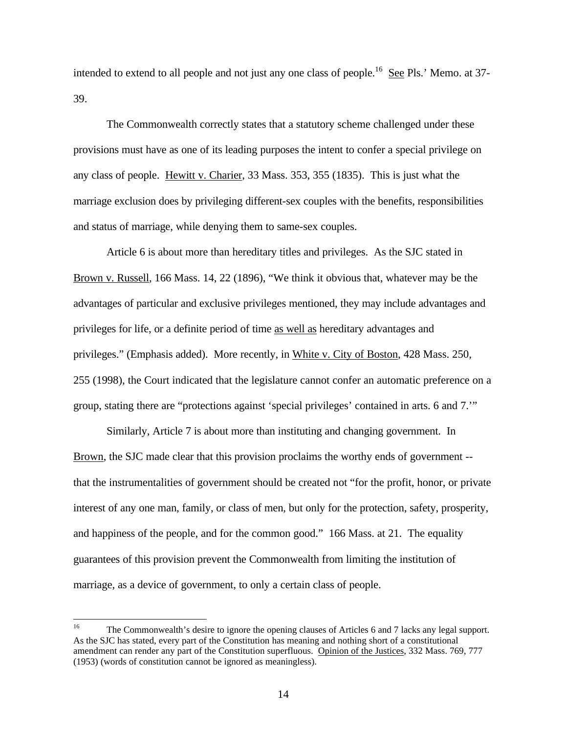intended to extend to all people and not just any one class of people.<sup>16</sup> See Pls.' Memo. at 37-39.

The Commonwealth correctly states that a statutory scheme challenged under these provisions must have as one of its leading purposes the intent to confer a special privilege on any class of people. Hewitt v. Charier, 33 Mass. 353, 355 (1835). This is just what the marriage exclusion does by privileging different-sex couples with the benefits, responsibilities and status of marriage, while denying them to same-sex couples.

Article 6 is about more than hereditary titles and privileges. As the SJC stated in Brown v. Russell, 166 Mass. 14, 22 (1896), "We think it obvious that, whatever may be the advantages of particular and exclusive privileges mentioned, they may include advantages and privileges for life, or a definite period of time as well as hereditary advantages and privileges." (Emphasis added). More recently, in White v. City of Boston, 428 Mass. 250, 255 (1998), the Court indicated that the legislature cannot confer an automatic preference on a group, stating there are "protections against 'special privileges' contained in arts. 6 and 7.'"

Similarly, Article 7 is about more than instituting and changing government. In Brown, the SJC made clear that this provision proclaims the worthy ends of government - that the instrumentalities of government should be created not "for the profit, honor, or private interest of any one man, family, or class of men, but only for the protection, safety, prosperity, and happiness of the people, and for the common good." 166 Mass. at 21. The equality guarantees of this provision prevent the Commonwealth from limiting the institution of marriage, as a device of government, to only a certain class of people.

 $16$ <sup>16</sup> The Commonwealth's desire to ignore the opening clauses of Articles 6 and 7 lacks any legal support. As the SJC has stated, every part of the Constitution has meaning and nothing short of a constitutional amendment can render any part of the Constitution superfluous.Opinion of the Justices, 332 Mass. 769, 777 (1953) (words of constitution cannot be ignored as meaningless).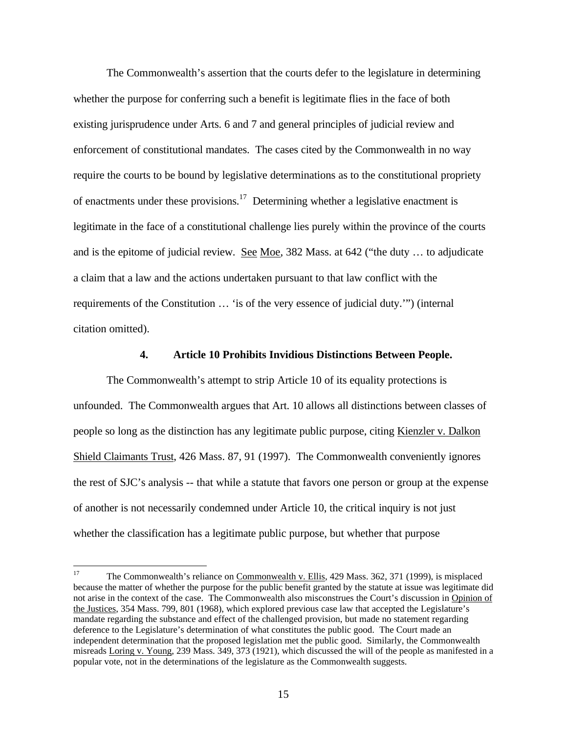The Commonwealth's assertion that the courts defer to the legislature in determining whether the purpose for conferring such a benefit is legitimate flies in the face of both existing jurisprudence under Arts. 6 and 7 and general principles of judicial review and enforcement of constitutional mandates. The cases cited by the Commonwealth in no way require the courts to be bound by legislative determinations as to the constitutional propriety of enactments under these provisions.<sup>17</sup> Determining whether a legislative enactment is legitimate in the face of a constitutional challenge lies purely within the province of the courts and is the epitome of judicial review. See Moe, 382 Mass. at 642 ("the duty ... to adjudicate a claim that a law and the actions undertaken pursuant to that law conflict with the requirements of the Constitution … 'is of the very essence of judicial duty.'") (internal citation omitted).

#### **4. Article 10 Prohibits Invidious Distinctions Between People.**

The Commonwealth's attempt to strip Article 10 of its equality protections is unfounded. The Commonwealth argues that Art. 10 allows all distinctions between classes of people so long as the distinction has any legitimate public purpose, citing Kienzler v. Dalkon Shield Claimants Trust, 426 Mass. 87, 91 (1997). The Commonwealth conveniently ignores the rest of SJC's analysis -- that while a statute that favors one person or group at the expense of another is not necessarily condemned under Article 10, the critical inquiry is not just whether the classification has a legitimate public purpose, but whether that purpose

<sup>17</sup> <sup>17</sup> The Commonwealth's reliance on Commonwealth v. Ellis, 429 Mass. 362, 371 (1999), is misplaced because the matter of whether the purpose for the public benefit granted by the statute at issue was legitimate did not arise in the context of the case. The Commonwealth also misconstrues the Court's discussion in Opinion of the Justices, 354 Mass. 799, 801 (1968), which explored previous case law that accepted the Legislature's mandate regarding the substance and effect of the challenged provision, but made no statement regarding deference to the Legislature's determination of what constitutes the public good. The Court made an independent determination that the proposed legislation met the public good. Similarly, the Commonwealth misreads Loring v. Young, 239 Mass. 349, 373 (1921), which discussed the will of the people as manifested in a popular vote, not in the determinations of the legislature as the Commonwealth suggests.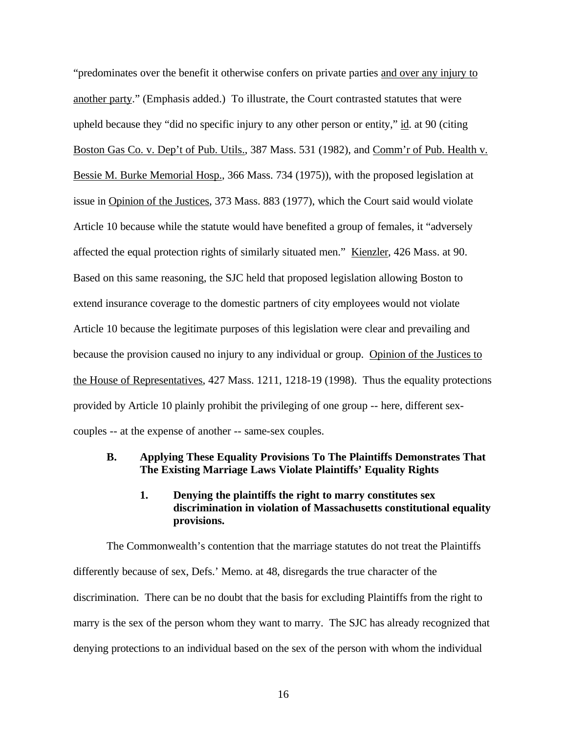"predominates over the benefit it otherwise confers on private parties and over any injury to another party." (Emphasis added.) To illustrate, the Court contrasted statutes that were upheld because they "did no specific injury to any other person or entity," id. at 90 (citing Boston Gas Co. v. Dep't of Pub. Utils., 387 Mass. 531 (1982), and Comm'r of Pub. Health v. Bessie M. Burke Memorial Hosp., 366 Mass. 734 (1975)), with the proposed legislation at issue in Opinion of the Justices, 373 Mass. 883 (1977), which the Court said would violate Article 10 because while the statute would have benefited a group of females, it "adversely affected the equal protection rights of similarly situated men." Kienzler, 426 Mass. at 90. Based on this same reasoning, the SJC held that proposed legislation allowing Boston to extend insurance coverage to the domestic partners of city employees would not violate Article 10 because the legitimate purposes of this legislation were clear and prevailing and because the provision caused no injury to any individual or group. Opinion of the Justices to the House of Representatives, 427 Mass. 1211, 1218-19 (1998). Thus the equality protections provided by Article 10 plainly prohibit the privileging of one group -- here, different sexcouples -- at the expense of another -- same-sex couples.

#### **B. Applying These Equality Provisions To The Plaintiffs Demonstrates That The Existing Marriage Laws Violate Plaintiffs' Equality Rights**

## **1. Denying the plaintiffs the right to marry constitutes sex discrimination in violation of Massachusetts constitutional equality provisions.**

The Commonwealth's contention that the marriage statutes do not treat the Plaintiffs differently because of sex, Defs.' Memo. at 48, disregards the true character of the discrimination. There can be no doubt that the basis for excluding Plaintiffs from the right to marry is the sex of the person whom they want to marry. The SJC has already recognized that denying protections to an individual based on the sex of the person with whom the individual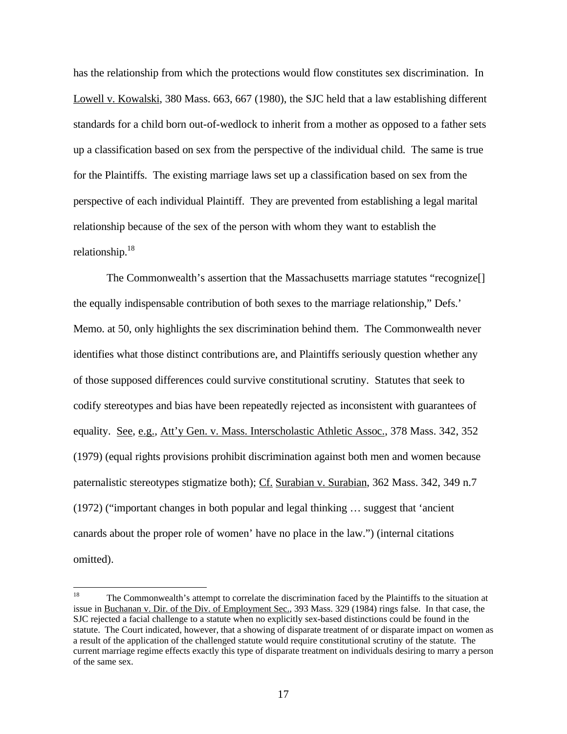has the relationship from which the protections would flow constitutes sex discrimination. In Lowell v. Kowalski, 380 Mass. 663, 667 (1980), the SJC held that a law establishing different standards for a child born out-of-wedlock to inherit from a mother as opposed to a father sets up a classification based on sex from the perspective of the individual child. The same is true for the Plaintiffs. The existing marriage laws set up a classification based on sex from the perspective of each individual Plaintiff. They are prevented from establishing a legal marital relationship because of the sex of the person with whom they want to establish the relationship.<sup>18</sup>

The Commonwealth's assertion that the Massachusetts marriage statutes "recognize[] the equally indispensable contribution of both sexes to the marriage relationship," Defs.' Memo. at 50, only highlights the sex discrimination behind them. The Commonwealth never identifies what those distinct contributions are, and Plaintiffs seriously question whether any of those supposed differences could survive constitutional scrutiny.Statutes that seek to codify stereotypes and bias have been repeatedly rejected as inconsistent with guarantees of equality. See, e.g., Att'y Gen. v. Mass. Interscholastic Athletic Assoc., 378 Mass. 342, 352 (1979) (equal rights provisions prohibit discrimination against both men and women because paternalistic stereotypes stigmatize both); Cf. Surabian v. Surabian, 362 Mass. 342, 349 n.7 (1972) ("important changes in both popular and legal thinking … suggest that 'ancient canards about the proper role of women' have no place in the law.") (internal citations omitted).

<sup>18</sup> <sup>18</sup> The Commonwealth's attempt to correlate the discrimination faced by the Plaintiffs to the situation at issue in Buchanan v. Dir. of the Div. of Employment Sec., 393 Mass. 329 (1984) rings false. In that case, the SJC rejected a facial challenge to a statute when no explicitly sex-based distinctions could be found in the statute. The Court indicated, however, that a showing of disparate treatment of or disparate impact on women as a result of the application of the challenged statute would require constitutional scrutiny of the statute. The current marriage regime effects exactly this type of disparate treatment on individuals desiring to marry a person of the same sex.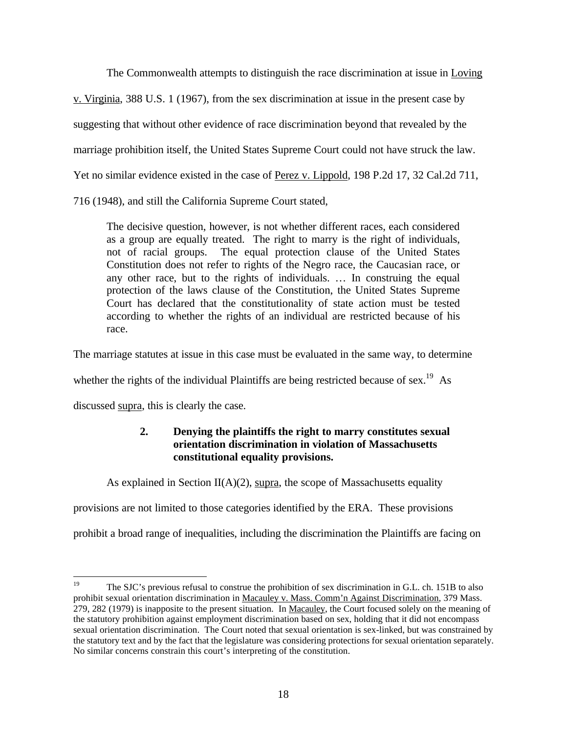The Commonwealth attempts to distinguish the race discrimination at issue in Loving

v. Virginia, 388 U.S. 1 (1967), from the sex discrimination at issue in the present case by

suggesting that without other evidence of race discrimination beyond that revealed by the

marriage prohibition itself, the United States Supreme Court could not have struck the law.

Yet no similar evidence existed in the case of Perez v. Lippold, 198 P.2d 17, 32 Cal.2d 711,

716 (1948), and still the California Supreme Court stated,

The decisive question, however, is not whether different races, each considered as a group are equally treated. The right to marry is the right of individuals, not of racial groups. The equal protection clause of the United States Constitution does not refer to rights of the Negro race, the Caucasian race, or any other race, but to the rights of individuals. … In construing the equal protection of the laws clause of the Constitution, the United States Supreme Court has declared that the constitutionality of state action must be tested according to whether the rights of an individual are restricted because of his race.

The marriage statutes at issue in this case must be evaluated in the same way, to determine

whether the rights of the individual Plaintiffs are being restricted because of sex.<sup>19</sup> As

discussed supra, this is clearly the case.

## **2. Denying the plaintiffs the right to marry constitutes sexual orientation discrimination in violation of Massachusetts constitutional equality provisions.**

As explained in Section  $II(A)(2)$ , supra, the scope of Massachusetts equality

provisions are not limited to those categories identified by the ERA. These provisions

prohibit a broad range of inequalities, including the discrimination the Plaintiffs are facing on

<sup>19</sup> The SJC's previous refusal to construe the prohibition of sex discrimination in G.L. ch. 151B to also prohibit sexual orientation discrimination in Macauley v. Mass. Comm'n Against Discrimination, 379 Mass. 279, 282 (1979) is inapposite to the present situation. In Macauley, the Court focused solely on the meaning of the statutory prohibition against employment discrimination based on sex, holding that it did not encompass sexual orientation discrimination. The Court noted that sexual orientation is sex-linked, but was constrained by the statutory text and by the fact that the legislature was considering protections for sexual orientation separately. No similar concerns constrain this court's interpreting of the constitution.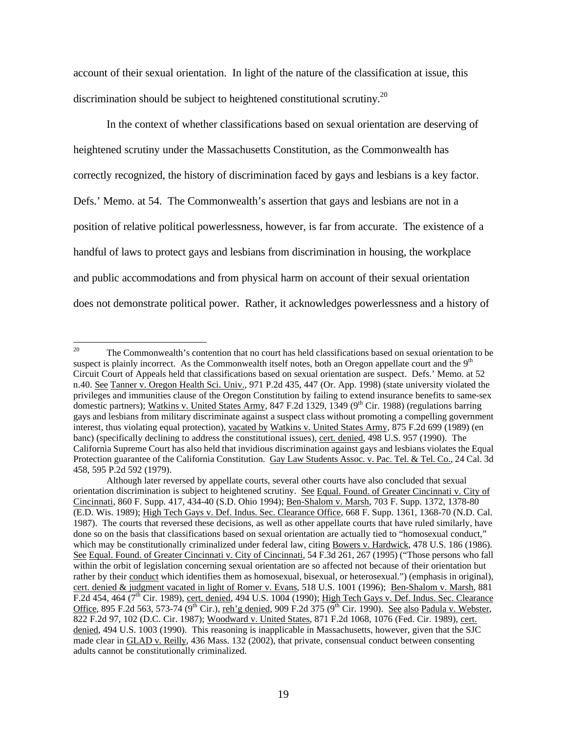account of their sexual orientation. In light of the nature of the classification at issue, this discrimination should be subject to heightened constitutional scrutiny.<sup>20</sup>

In the context of whether classifications based on sexual orientation are deserving of heightened scrutiny under the Massachusetts Constitution, as the Commonwealth has correctly recognized, the history of discrimination faced by gays and lesbians is a key factor. Defs.' Memo. at 54. The Commonwealth's assertion that gays and lesbians are not in a position of relative political powerlessness, however, is far from accurate. The existence of a handful of laws to protect gays and lesbians from discrimination in housing, the workplace and public accommodations and from physical harm on account of their sexual orientation does not demonstrate political power. Rather, it acknowledges powerlessness and a history of

<sup>20</sup> The Commonwealth's contention that no court has held classifications based on sexual orientation to be suspect is plainly incorrect. As the Commonwealth itself notes, both an Oregon appellate court and the  $9<sup>th</sup>$ Circuit Court of Appeals held that classifications based on sexual orientation are suspect. Defs.' Memo. at 52 n.40. See Tanner v. Oregon Health Sci. Univ., 971 P.2d 435, 447 (Or. App. 1998) (state university violated the privileges and immunities clause of the Oregon Constitution by failing to extend insurance benefits to same-sex domestic partners); Watkins v. United States Army, 847 F.2d 1329, 1349 (9<sup>th</sup> Cir. 1988) (regulations barring gays and lesbians from military discriminate against a suspect class without promoting a compelling government interest, thus violating equal protection), vacated by Watkins v. United States Army, 875 F.2d 699 (1989) (en banc) (specifically declining to address the constitutional issues), cert. denied, 498 U.S. 957 (1990). The California Supreme Court has also held that invidious discrimination against gays and lesbians violates the Equal Protection guarantee of the California Constitution. Gay Law Students Assoc. v. Pac. Tel. & Tel. Co., 24 Cal. 3d 458, 595 P.2d 592 (1979).

Although later reversed by appellate courts, several other courts have also concluded that sexual orientation discrimination is subject to heightened scrutiny. See Equal. Found. of Greater Cincinnati v. City of Cincinnati, 860 F. Supp. 417, 434-40 (S.D. Ohio 1994); Ben-Shalom v. Marsh, 703 F. Supp. 1372, 1378-80 (E.D. Wis. 1989); High Tech Gays v. Def. Indus. Sec. Clearance Office, 668 F. Supp. 1361, 1368-70 (N.D. Cal. 1987). The courts that reversed these decisions, as well as other appellate courts that have ruled similarly, have done so on the basis that classifications based on sexual orientation are actually tied to "homosexual conduct," which may be constitutionally criminalized under federal law, citing Bowers v. Hardwick, 478 U.S. 186 (1986). See Equal. Found. of Greater Cincinnati v. City of Cincinnati, 54 F.3d 261, 267 (1995) ("Those persons who fall within the orbit of legislation concerning sexual orientation are so affected not because of their orientation but rather by their conduct which identifies them as homosexual, bisexual, or heterosexual.") (emphasis in original), cert. denied & judgment vacated in light of Romer v. Evans, 518 U.S. 1001 (1996); Ben-Shalom v. Marsh, 881 F.2d 454, 464 (7<sup>th</sup> Cir. 1989), cert. denied, 494 U.S. 1004 (1990); High Tech Gays v. Def. Indus. Sec. Clearance Office, 895 F.2d 563, 573-74 (9<sup>th</sup> Cir.), reh'g denied, 909 F.2d 375 (9<sup>th</sup> Cir. 1990). See also Padula v. Webster, 822 F.2d 97, 102 (D.C. Cir. 1987); Woodward v. United States, 871 F.2d 1068, 1076 (Fed. Cir. 1989), cert. denied, 494 U.S. 1003 (1990). This reasoning is inapplicable in Massachusetts, however, given that the SJC made clear in GLAD v. Reilly, 436 Mass. 132 (2002), that private, consensual conduct between consenting adults cannot be constitutionally criminalized.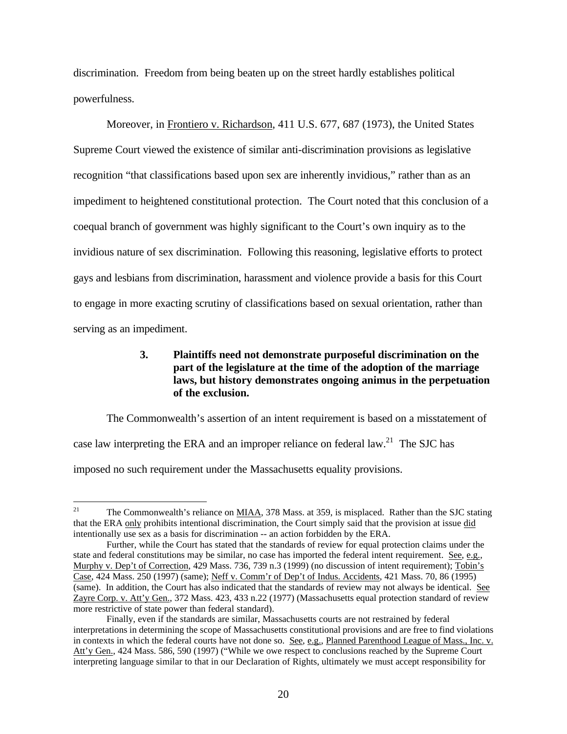discrimination. Freedom from being beaten up on the street hardly establishes political powerfulness.

Moreover, in Frontiero v. Richardson, 411 U.S. 677, 687 (1973), the United States Supreme Court viewed the existence of similar anti-discrimination provisions as legislative recognition "that classifications based upon sex are inherently invidious," rather than as an impediment to heightened constitutional protection. The Court noted that this conclusion of a coequal branch of government was highly significant to the Court's own inquiry as to the invidious nature of sex discrimination. Following this reasoning, legislative efforts to protect gays and lesbians from discrimination, harassment and violence provide a basis for this Court to engage in more exacting scrutiny of classifications based on sexual orientation, rather than serving as an impediment.

## **3. Plaintiffs need not demonstrate purposeful discrimination on the part of the legislature at the time of the adoption of the marriage laws, but history demonstrates ongoing animus in the perpetuation of the exclusion.**

The Commonwealth's assertion of an intent requirement is based on a misstatement of case law interpreting the ERA and an improper reliance on federal law.<sup>21</sup> The SJC has imposed no such requirement under the Massachusetts equality provisions.

 $21$ <sup>21</sup> The Commonwealth's reliance on MIAA, 378 Mass. at 359, is misplaced. Rather than the SJC stating that the ERA only prohibits intentional discrimination, the Court simply said that the provision at issue did intentionally use sex as a basis for discrimination -- an action forbidden by the ERA.

Further, while the Court has stated that the standards of review for equal protection claims under the state and federal constitutions may be similar, no case has imported the federal intent requirement. See, e.g., Murphy v. Dep't of Correction, 429 Mass. 736, 739 n.3 (1999) (no discussion of intent requirement); Tobin's Case, 424 Mass. 250 (1997) (same); Neff v. Comm'r of Dep't of Indus. Accidents, 421 Mass. 70, 86 (1995) (same). In addition, the Court has also indicated that the standards of review may not always be identical. See Zayre Corp. v. Att'y Gen., 372 Mass. 423, 433 n.22 (1977) (Massachusetts equal protection standard of review more restrictive of state power than federal standard).

Finally, even if the standards are similar, Massachusetts courts are not restrained by federal interpretations in determining the scope of Massachusetts constitutional provisions and are free to find violations in contexts in which the federal courts have not done so. See, e.g., Planned Parenthood League of Mass., Inc. v. Att'y Gen., 424 Mass. 586, 590 (1997) ("While we owe respect to conclusions reached by the Supreme Court interpreting language similar to that in our Declaration of Rights, ultimately we must accept responsibility for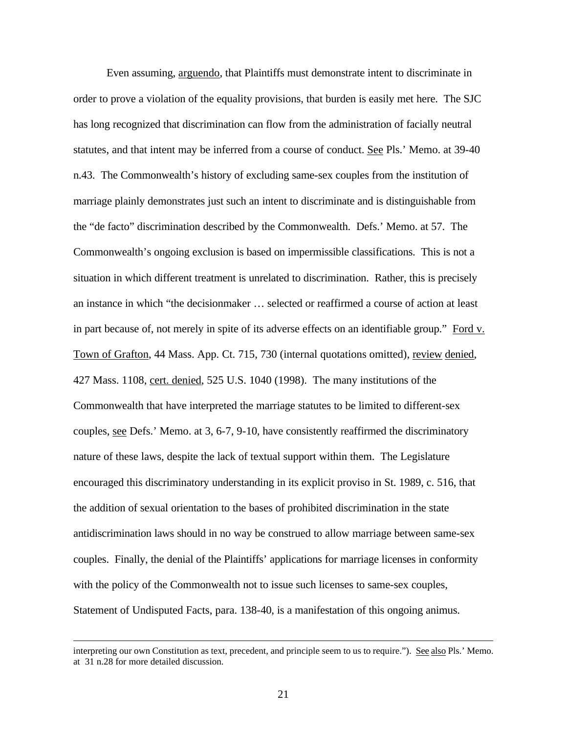Even assuming, arguendo, that Plaintiffs must demonstrate intent to discriminate in order to prove a violation of the equality provisions, that burden is easily met here. The SJC has long recognized that discrimination can flow from the administration of facially neutral statutes, and that intent may be inferred from a course of conduct. See Pls.' Memo. at 39-40 n.43. The Commonwealth's history of excluding same-sex couples from the institution of marriage plainly demonstrates just such an intent to discriminate and is distinguishable from the "de facto" discrimination described by the Commonwealth. Defs.' Memo. at 57. The Commonwealth's ongoing exclusion is based on impermissible classifications. This is not a situation in which different treatment is unrelated to discrimination. Rather, this is precisely an instance in which "the decisionmaker … selected or reaffirmed a course of action at least in part because of, not merely in spite of its adverse effects on an identifiable group." Ford v. Town of Grafton, 44 Mass. App. Ct. 715, 730 (internal quotations omitted), review denied, 427 Mass. 1108, cert. denied, 525 U.S. 1040 (1998). The many institutions of the Commonwealth that have interpreted the marriage statutes to be limited to different-sex couples, see Defs.' Memo. at 3, 6-7, 9-10, have consistently reaffirmed the discriminatory nature of these laws, despite the lack of textual support within them. The Legislature encouraged this discriminatory understanding in its explicit proviso in St. 1989, c. 516, that the addition of sexual orientation to the bases of prohibited discrimination in the state antidiscrimination laws should in no way be construed to allow marriage between same-sex couples. Finally, the denial of the Plaintiffs' applications for marriage licenses in conformity with the policy of the Commonwealth not to issue such licenses to same-sex couples, Statement of Undisputed Facts, para. 138-40, is a manifestation of this ongoing animus.

 $\overline{a}$ 

interpreting our own Constitution as text, precedent, and principle seem to us to require."). See also Pls.' Memo. at 31 n.28 for more detailed discussion.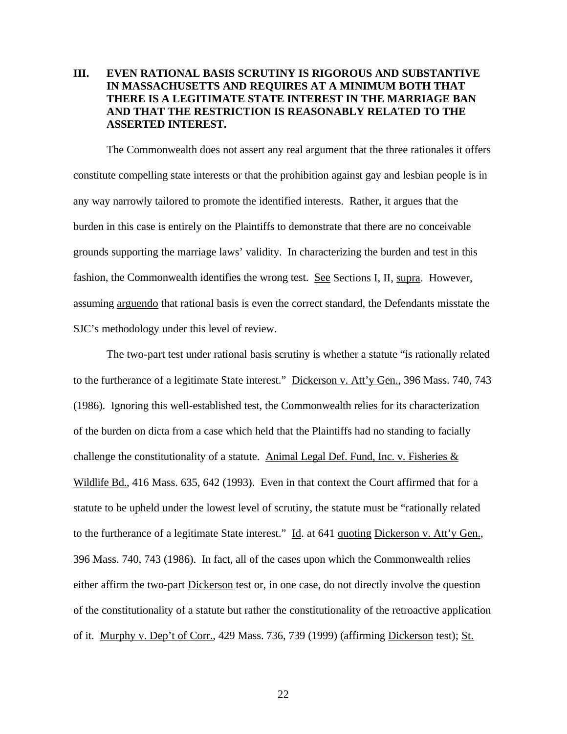## **III. EVEN RATIONAL BASIS SCRUTINY IS RIGOROUS AND SUBSTANTIVE IN MASSACHUSETTS AND REQUIRES AT A MINIMUM BOTH THAT THERE IS A LEGITIMATE STATE INTEREST IN THE MARRIAGE BAN AND THAT THE RESTRICTION IS REASONABLY RELATED TO THE ASSERTED INTEREST.**

The Commonwealth does not assert any real argument that the three rationales it offers constitute compelling state interests or that the prohibition against gay and lesbian people is in any way narrowly tailored to promote the identified interests. Rather, it argues that the burden in this case is entirely on the Plaintiffs to demonstrate that there are no conceivable grounds supporting the marriage laws' validity. In characterizing the burden and test in this fashion, the Commonwealth identifies the wrong test. See Sections I, II, supra. However, assuming arguendo that rational basis is even the correct standard, the Defendants misstate the SJC's methodology under this level of review.

The two-part test under rational basis scrutiny is whether a statute "is rationally related to the furtherance of a legitimate State interest." Dickerson v. Att'y Gen., 396 Mass. 740, 743 (1986). Ignoring this well-established test, the Commonwealth relies for its characterization of the burden on dicta from a case which held that the Plaintiffs had no standing to facially challenge the constitutionality of a statute. Animal Legal Def. Fund, Inc. v. Fisheries  $\&$ Wildlife Bd., 416 Mass. 635, 642 (1993). Even in that context the Court affirmed that for a statute to be upheld under the lowest level of scrutiny, the statute must be "rationally related to the furtherance of a legitimate State interest." Id. at 641 quoting Dickerson v. Att'y Gen., 396 Mass. 740, 743 (1986). In fact, all of the cases upon which the Commonwealth relies either affirm the two-part Dickerson test or, in one case, do not directly involve the question of the constitutionality of a statute but rather the constitutionality of the retroactive application of it. Murphy v. Dep't of Corr., 429 Mass. 736, 739 (1999) (affirming Dickerson test); St.

22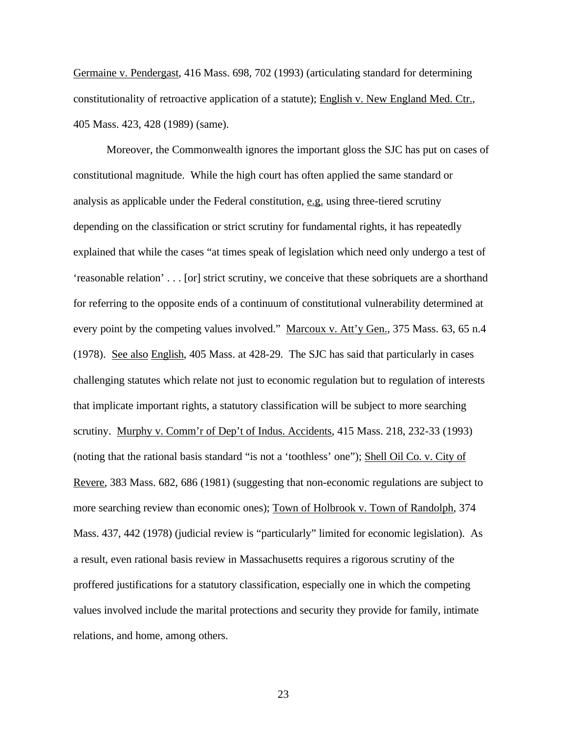Germaine v. Pendergast, 416 Mass. 698, 702 (1993) (articulating standard for determining constitutionality of retroactive application of a statute); English v. New England Med. Ctr., 405 Mass. 423, 428 (1989) (same).

Moreover, the Commonwealth ignores the important gloss the SJC has put on cases of constitutional magnitude. While the high court has often applied the same standard or analysis as applicable under the Federal constitution, e.g. using three-tiered scrutiny depending on the classification or strict scrutiny for fundamental rights, it has repeatedly explained that while the cases "at times speak of legislation which need only undergo a test of 'reasonable relation' . . . [or] strict scrutiny, we conceive that these sobriquets are a shorthand for referring to the opposite ends of a continuum of constitutional vulnerability determined at every point by the competing values involved." Marcoux v. Att'y Gen., 375 Mass. 63, 65 n.4 (1978). See also English, 405 Mass. at 428-29. The SJC has said that particularly in cases challenging statutes which relate not just to economic regulation but to regulation of interests that implicate important rights, a statutory classification will be subject to more searching scrutiny. Murphy v. Comm'r of Dep't of Indus. Accidents, 415 Mass. 218, 232-33 (1993) (noting that the rational basis standard "is not a 'toothless' one"); Shell Oil Co. v. City of Revere, 383 Mass. 682, 686 (1981) (suggesting that non-economic regulations are subject to more searching review than economic ones); Town of Holbrook v. Town of Randolph, 374 Mass. 437, 442 (1978) (judicial review is "particularly" limited for economic legislation). As a result, even rational basis review in Massachusetts requires a rigorous scrutiny of the proffered justifications for a statutory classification, especially one in which the competing values involved include the marital protections and security they provide for family, intimate relations, and home, among others.

23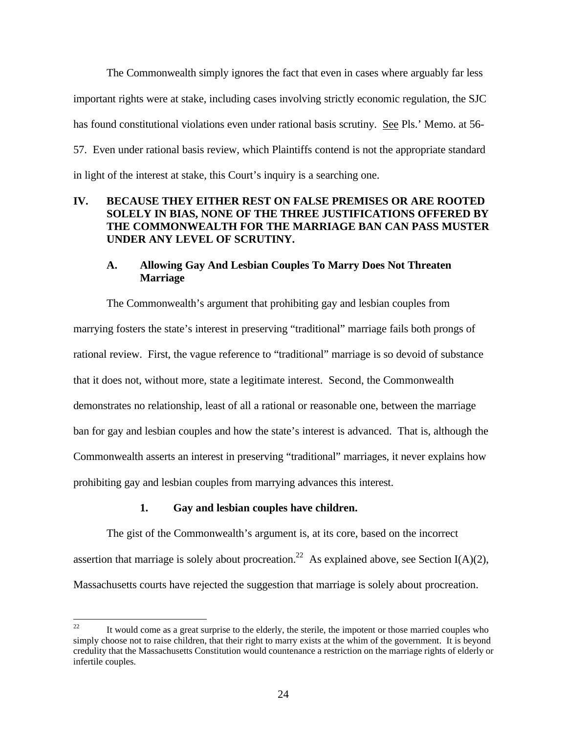The Commonwealth simply ignores the fact that even in cases where arguably far less important rights were at stake, including cases involving strictly economic regulation, the SJC has found constitutional violations even under rational basis scrutiny. See Pls.' Memo. at 56- 57. Even under rational basis review, which Plaintiffs contend is not the appropriate standard in light of the interest at stake, this Court's inquiry is a searching one.

## **IV. BECAUSE THEY EITHER REST ON FALSE PREMISES OR ARE ROOTED SOLELY IN BIAS, NONE OF THE THREE JUSTIFICATIONS OFFERED BY THE COMMONWEALTH FOR THE MARRIAGE BAN CAN PASS MUSTER UNDER ANY LEVEL OF SCRUTINY.**

## **A. Allowing Gay And Lesbian Couples To Marry Does Not Threaten Marriage**

The Commonwealth's argument that prohibiting gay and lesbian couples from marrying fosters the state's interest in preserving "traditional" marriage fails both prongs of rational review. First, the vague reference to "traditional" marriage is so devoid of substance that it does not, without more, state a legitimate interest. Second, the Commonwealth demonstrates no relationship, least of all a rational or reasonable one, between the marriage ban for gay and lesbian couples and how the state's interest is advanced. That is, although the Commonwealth asserts an interest in preserving "traditional" marriages, it never explains how prohibiting gay and lesbian couples from marrying advances this interest.

### **1. Gay and lesbian couples have children.**

The gist of the Commonwealth's argument is, at its core, based on the incorrect assertion that marriage is solely about procreation.<sup>22</sup> As explained above, see Section I(A)(2), Massachusetts courts have rejected the suggestion that marriage is solely about procreation.

 $22$ It would come as a great surprise to the elderly, the sterile, the impotent or those married couples who simply choose not to raise children, that their right to marry exists at the whim of the government. It is beyond credulity that the Massachusetts Constitution would countenance a restriction on the marriage rights of elderly or infertile couples.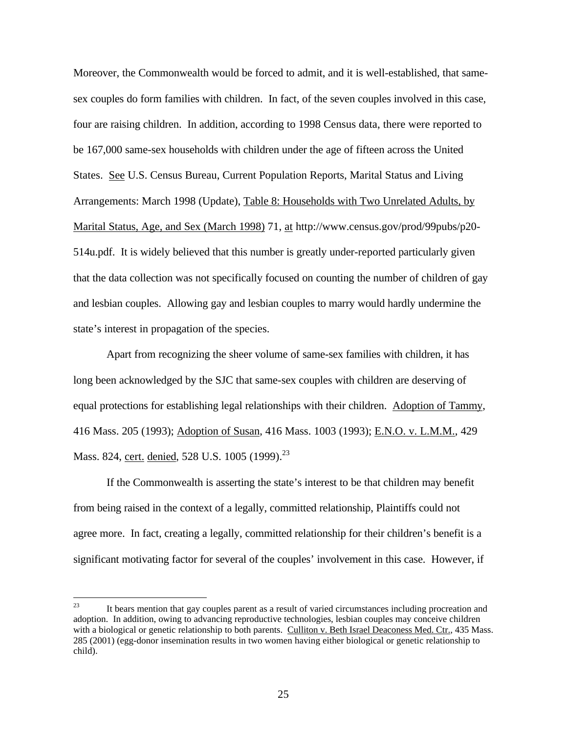Moreover, the Commonwealth would be forced to admit, and it is well-established, that samesex couples do form families with children. In fact, of the seven couples involved in this case, four are raising children. In addition, according to 1998 Census data, there were reported to be 167,000 same-sex households with children under the age of fifteen across the United States. See U.S. Census Bureau, Current Population Reports, Marital Status and Living Arrangements: March 1998 (Update), Table 8: Households with Two Unrelated Adults, by Marital Status, Age, and Sex (March 1998) 71, at http://www.census.gov/prod/99pubs/p20- 514u.pdf. It is widely believed that this number is greatly under-reported particularly given that the data collection was not specifically focused on counting the number of children of gay and lesbian couples. Allowing gay and lesbian couples to marry would hardly undermine the state's interest in propagation of the species.

Apart from recognizing the sheer volume of same-sex families with children, it has long been acknowledged by the SJC that same-sex couples with children are deserving of equal protections for establishing legal relationships with their children. Adoption of Tammy, 416 Mass. 205 (1993); Adoption of Susan, 416 Mass. 1003 (1993); E.N.O. v. L.M.M., 429 Mass. 824, cert. denied, 528 U.S. 1005 (1999).<sup>23</sup>

If the Commonwealth is asserting the state's interest to be that children may benefit from being raised in the context of a legally, committed relationship, Plaintiffs could not agree more. In fact, creating a legally, committed relationship for their children's benefit is a significant motivating factor for several of the couples' involvement in this case. However, if

<sup>23</sup> It bears mention that gay couples parent as a result of varied circumstances including procreation and adoption. In addition, owing to advancing reproductive technologies, lesbian couples may conceive children with a biological or genetic relationship to both parents. Culliton v. Beth Israel Deaconess Med. Ctr., 435 Mass. 285 (2001) (egg-donor insemination results in two women having either biological or genetic relationship to child).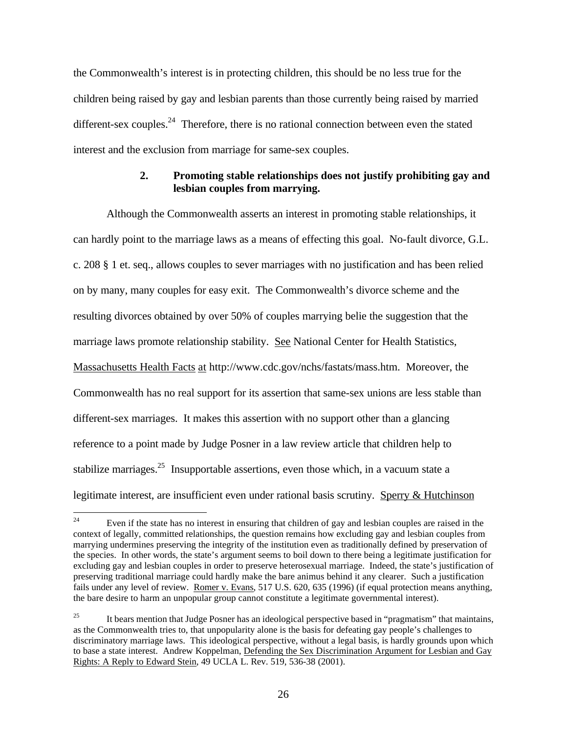the Commonwealth's interest is in protecting children, this should be no less true for the children being raised by gay and lesbian parents than those currently being raised by married different-sex couples.<sup>24</sup> Therefore, there is no rational connection between even the stated interest and the exclusion from marriage for same-sex couples.

### **2. Promoting stable relationships does not justify prohibiting gay and lesbian couples from marrying.**

Although the Commonwealth asserts an interest in promoting stable relationships, it can hardly point to the marriage laws as a means of effecting this goal. No-fault divorce, G.L. c. 208 § 1 et. seq., allows couples to sever marriages with no justification and has been relied on by many, many couples for easy exit. The Commonwealth's divorce scheme and the resulting divorces obtained by over 50% of couples marrying belie the suggestion that the marriage laws promote relationship stability. See National Center for Health Statistics, Massachusetts Health Facts at http://www.cdc.gov/nchs/fastats/mass.htm. Moreover, the Commonwealth has no real support for its assertion that same-sex unions are less stable than different-sex marriages. It makes this assertion with no support other than a glancing reference to a point made by Judge Posner in a law review article that children help to stabilize marriages.<sup>25</sup> Insupportable assertions, even those which, in a vacuum state a legitimate interest, are insufficient even under rational basis scrutiny. Sperry & Hutchinson

 $24$ Even if the state has no interest in ensuring that children of gay and lesbian couples are raised in the context of legally, committed relationships, the question remains how excluding gay and lesbian couples from marrying undermines preserving the integrity of the institution even as traditionally defined by preservation of the species. In other words, the state's argument seems to boil down to there being a legitimate justification for excluding gay and lesbian couples in order to preserve heterosexual marriage. Indeed, the state's justification of preserving traditional marriage could hardly make the bare animus behind it any clearer. Such a justification fails under any level of review. Romer v. Evans, 517 U.S. 620, 635 (1996) (if equal protection means anything, the bare desire to harm an unpopular group cannot constitute a legitimate governmental interest).

<sup>&</sup>lt;sup>25</sup> It bears mention that Judge Posner has an ideological perspective based in "pragmatism" that maintains, as the Commonwealth tries to, that unpopularity alone is the basis for defeating gay people's challenges to discriminatory marriage laws. This ideological perspective, without a legal basis, is hardly grounds upon which to base a state interest. Andrew Koppelman, Defending the Sex Discrimination Argument for Lesbian and Gay Rights: A Reply to Edward Stein, 49 UCLA L. Rev. 519, 536-38 (2001).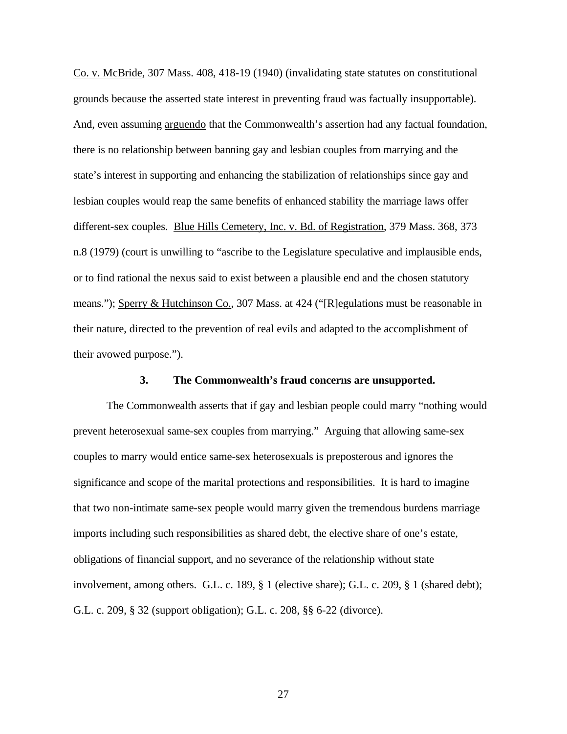Co. v. McBride, 307 Mass. 408, 418-19 (1940) (invalidating state statutes on constitutional grounds because the asserted state interest in preventing fraud was factually insupportable). And, even assuming arguendo that the Commonwealth's assertion had any factual foundation, there is no relationship between banning gay and lesbian couples from marrying and the state's interest in supporting and enhancing the stabilization of relationships since gay and lesbian couples would reap the same benefits of enhanced stability the marriage laws offer different-sex couples. Blue Hills Cemetery, Inc. v. Bd. of Registration, 379 Mass. 368, 373 n.8 (1979) (court is unwilling to "ascribe to the Legislature speculative and implausible ends, or to find rational the nexus said to exist between a plausible end and the chosen statutory means."); Sperry & Hutchinson Co., 307 Mass. at 424 ("[R]egulations must be reasonable in their nature, directed to the prevention of real evils and adapted to the accomplishment of their avowed purpose.").

#### **3. The Commonwealth's fraud concerns are unsupported.**

The Commonwealth asserts that if gay and lesbian people could marry "nothing would prevent heterosexual same-sex couples from marrying." Arguing that allowing same-sex couples to marry would entice same-sex heterosexuals is preposterous and ignores the significance and scope of the marital protections and responsibilities. It is hard to imagine that two non-intimate same-sex people would marry given the tremendous burdens marriage imports including such responsibilities as shared debt, the elective share of one's estate, obligations of financial support, and no severance of the relationship without state involvement, among others. G.L. c. 189, § 1 (elective share); G.L. c. 209, § 1 (shared debt); G.L. c. 209, § 32 (support obligation); G.L. c. 208, §§ 6-22 (divorce).

27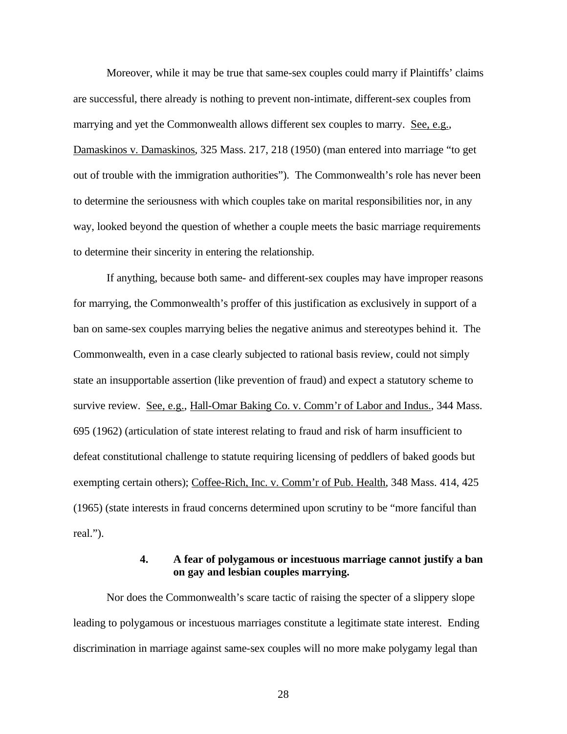Moreover, while it may be true that same-sex couples could marry if Plaintiffs' claims are successful, there already is nothing to prevent non-intimate, different-sex couples from marrying and yet the Commonwealth allows different sex couples to marry. See, e.g., Damaskinos v. Damaskinos, 325 Mass. 217, 218 (1950) (man entered into marriage "to get out of trouble with the immigration authorities"). The Commonwealth's role has never been to determine the seriousness with which couples take on marital responsibilities nor, in any way, looked beyond the question of whether a couple meets the basic marriage requirements to determine their sincerity in entering the relationship.

If anything, because both same- and different-sex couples may have improper reasons for marrying, the Commonwealth's proffer of this justification as exclusively in support of a ban on same-sex couples marrying belies the negative animus and stereotypes behind it. The Commonwealth, even in a case clearly subjected to rational basis review, could not simply state an insupportable assertion (like prevention of fraud) and expect a statutory scheme to survive review. See, e.g., Hall-Omar Baking Co. v. Comm'r of Labor and Indus., 344 Mass. 695 (1962) (articulation of state interest relating to fraud and risk of harm insufficient to defeat constitutional challenge to statute requiring licensing of peddlers of baked goods but exempting certain others); Coffee-Rich, Inc. v. Comm'r of Pub. Health, 348 Mass. 414, 425 (1965) (state interests in fraud concerns determined upon scrutiny to be "more fanciful than real.").

### **4. A fear of polygamous or incestuous marriage cannot justify a ban on gay and lesbian couples marrying.**

Nor does the Commonwealth's scare tactic of raising the specter of a slippery slope leading to polygamous or incestuous marriages constitute a legitimate state interest. Ending discrimination in marriage against same-sex couples will no more make polygamy legal than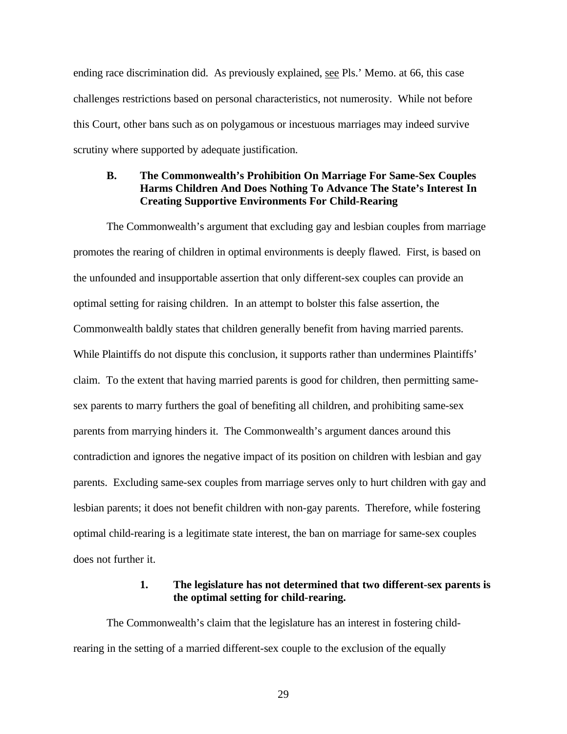ending race discrimination did. As previously explained, see Pls.' Memo. at 66, this case challenges restrictions based on personal characteristics, not numerosity. While not before this Court, other bans such as on polygamous or incestuous marriages may indeed survive scrutiny where supported by adequate justification.

### **B. The Commonwealth's Prohibition On Marriage For Same-Sex Couples Harms Children And Does Nothing To Advance The State's Interest In Creating Supportive Environments For Child-Rearing**

The Commonwealth's argument that excluding gay and lesbian couples from marriage promotes the rearing of children in optimal environments is deeply flawed. First, is based on the unfounded and insupportable assertion that only different-sex couples can provide an optimal setting for raising children. In an attempt to bolster this false assertion, the Commonwealth baldly states that children generally benefit from having married parents. While Plaintiffs do not dispute this conclusion, it supports rather than undermines Plaintiffs' claim. To the extent that having married parents is good for children, then permitting samesex parents to marry furthers the goal of benefiting all children, and prohibiting same-sex parents from marrying hinders it. The Commonwealth's argument dances around this contradiction and ignores the negative impact of its position on children with lesbian and gay parents. Excluding same-sex couples from marriage serves only to hurt children with gay and lesbian parents; it does not benefit children with non-gay parents. Therefore, while fostering optimal child-rearing is a legitimate state interest, the ban on marriage for same-sex couples does not further it.

#### **1. The legislature has not determined that two different-sex parents is the optimal setting for child-rearing.**

The Commonwealth's claim that the legislature has an interest in fostering childrearing in the setting of a married different-sex couple to the exclusion of the equally

29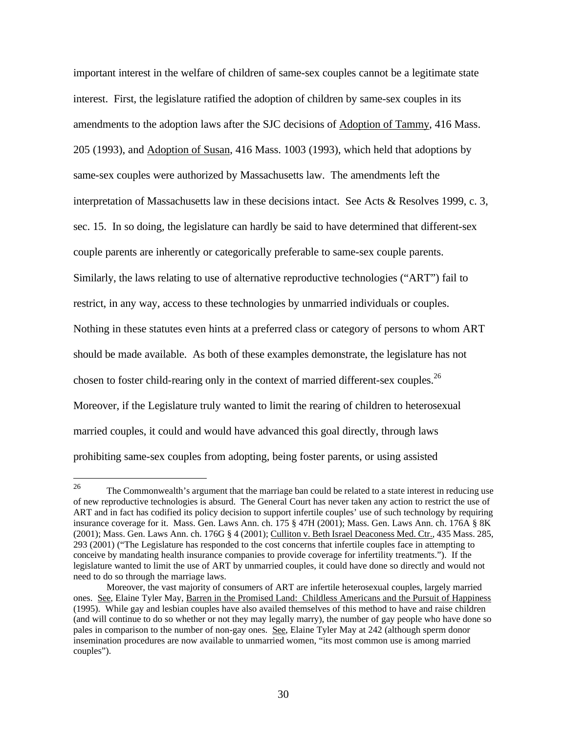important interest in the welfare of children of same-sex couples cannot be a legitimate state interest. First, the legislature ratified the adoption of children by same-sex couples in its amendments to the adoption laws after the SJC decisions of Adoption of Tammy, 416 Mass. 205 (1993), and Adoption of Susan, 416 Mass. 1003 (1993), which held that adoptions by same-sex couples were authorized by Massachusetts law. The amendments left the interpretation of Massachusetts law in these decisions intact. See Acts & Resolves 1999, c. 3, sec. 15. In so doing, the legislature can hardly be said to have determined that different-sex couple parents are inherently or categorically preferable to same-sex couple parents. Similarly, the laws relating to use of alternative reproductive technologies ("ART") fail to restrict, in any way, access to these technologies by unmarried individuals or couples. Nothing in these statutes even hints at a preferred class or category of persons to whom ART should be made available. As both of these examples demonstrate, the legislature has not chosen to foster child-rearing only in the context of married different-sex couples.<sup>26</sup> Moreover, if the Legislature truly wanted to limit the rearing of children to heterosexual married couples, it could and would have advanced this goal directly, through laws prohibiting same-sex couples from adopting, being foster parents, or using assisted

<sup>26</sup> <sup>26</sup> The Commonwealth's argument that the marriage ban could be related to a state interest in reducing use of new reproductive technologies is absurd. The General Court has never taken any action to restrict the use of ART and in fact has codified its policy decision to support infertile couples' use of such technology by requiring insurance coverage for it. Mass. Gen. Laws Ann. ch. 175 § 47H (2001); Mass. Gen. Laws Ann. ch. 176A § 8K (2001); Mass. Gen. Laws Ann. ch. 176G § 4 (2001); Culliton v. Beth Israel Deaconess Med. Ctr., 435 Mass. 285, 293 (2001) ("The Legislature has responded to the cost concerns that infertile couples face in attempting to conceive by mandating health insurance companies to provide coverage for infertility treatments."). If the legislature wanted to limit the use of ART by unmarried couples, it could have done so directly and would not need to do so through the marriage laws.

Moreover, the vast majority of consumers of ART are infertile heterosexual couples, largely married ones. See, Elaine Tyler May, Barren in the Promised Land: Childless Americans and the Pursuit of Happiness (1995). While gay and lesbian couples have also availed themselves of this method to have and raise children (and will continue to do so whether or not they may legally marry), the number of gay people who have done so pales in comparison to the number of non-gay ones. See, Elaine Tyler May at 242 (although sperm donor insemination procedures are now available to unmarried women, "its most common use is among married couples").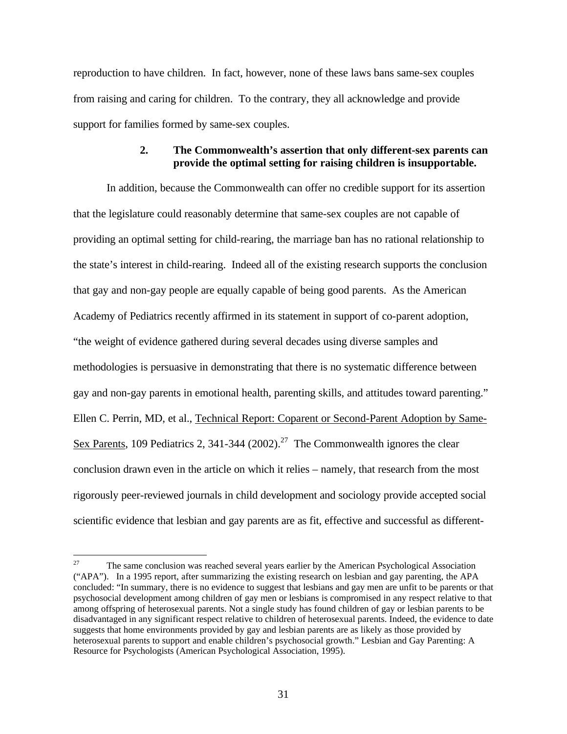reproduction to have children. In fact, however, none of these laws bans same-sex couples from raising and caring for children. To the contrary, they all acknowledge and provide support for families formed by same-sex couples.

### **2. The Commonwealth's assertion that only different-sex parents can provide the optimal setting for raising children is insupportable.**

In addition, because the Commonwealth can offer no credible support for its assertion that the legislature could reasonably determine that same-sex couples are not capable of providing an optimal setting for child-rearing, the marriage ban has no rational relationship to the state's interest in child-rearing. Indeed all of the existing research supports the conclusion that gay and non-gay people are equally capable of being good parents. As the American Academy of Pediatrics recently affirmed in its statement in support of co-parent adoption, "the weight of evidence gathered during several decades using diverse samples and methodologies is persuasive in demonstrating that there is no systematic difference between gay and non-gay parents in emotional health, parenting skills, and attitudes toward parenting." Ellen C. Perrin, MD, et al., Technical Report: Coparent or Second-Parent Adoption by Same-Sex Parents, 109 Pediatrics 2, 341-344 (2002).<sup>27</sup> The Commonwealth ignores the clear conclusion drawn even in the article on which it relies – namely, that research from the most rigorously peer-reviewed journals in child development and sociology provide accepted social scientific evidence that lesbian and gay parents are as fit, effective and successful as different-

<sup>27</sup> <sup>27</sup> The same conclusion was reached several years earlier by the American Psychological Association ("APA"). In a 1995 report, after summarizing the existing research on lesbian and gay parenting, the APA concluded: "In summary, there is no evidence to suggest that lesbians and gay men are unfit to be parents or that psychosocial development among children of gay men or lesbians is compromised in any respect relative to that among offspring of heterosexual parents. Not a single study has found children of gay or lesbian parents to be disadvantaged in any significant respect relative to children of heterosexual parents. Indeed, the evidence to date suggests that home environments provided by gay and lesbian parents are as likely as those provided by heterosexual parents to support and enable children's psychosocial growth." Lesbian and Gay Parenting: A Resource for Psychologists (American Psychological Association, 1995).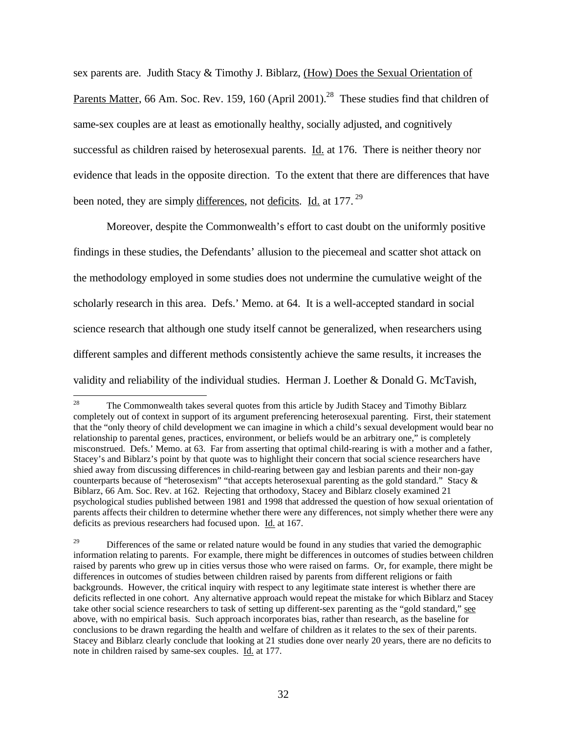sex parents are. Judith Stacy & Timothy J. Biblarz, (How) Does the Sexual Orientation of Parents Matter, 66 Am. Soc. Rev. 159, 160 (April 2001).<sup>28</sup> These studies find that children of same-sex couples are at least as emotionally healthy, socially adjusted, and cognitively successful as children raised by heterosexual parents. **Id.** at 176. There is neither theory nor evidence that leads in the opposite direction. To the extent that there are differences that have been noted, they are simply differences, not deficits. Id. at 177.<sup>29</sup>

Moreover, despite the Commonwealth's effort to cast doubt on the uniformly positive findings in these studies, the Defendants' allusion to the piecemeal and scatter shot attack on the methodology employed in some studies does not undermine the cumulative weight of the scholarly research in this area. Defs.' Memo. at 64. It is a well-accepted standard in social science research that although one study itself cannot be generalized, when researchers using different samples and different methods consistently achieve the same results, it increases the validity and reliability of the individual studies. Herman J. Loether & Donald G. McTavish,

<sup>28</sup> <sup>28</sup> The Commonwealth takes several quotes from this article by Judith Stacey and Timothy Biblarz completely out of context in support of its argument preferencing heterosexual parenting. First, their statement that the "only theory of child development we can imagine in which a child's sexual development would bear no relationship to parental genes, practices, environment, or beliefs would be an arbitrary one," is completely misconstrued. Defs.' Memo. at 63. Far from asserting that optimal child-rearing is with a mother and a father, Stacey's and Biblarz's point by that quote was to highlight their concern that social science researchers have shied away from discussing differences in child-rearing between gay and lesbian parents and their non-gay counterparts because of "heterosexism" "that accepts heterosexual parenting as the gold standard." Stacy & Biblarz, 66 Am. Soc. Rev. at 162. Rejecting that orthodoxy, Stacey and Biblarz closely examined 21 psychological studies published between 1981 and 1998 that addressed the question of how sexual orientation of parents affects their children to determine whether there were any differences, not simply whether there were any deficits as previous researchers had focused upon. Id. at 167.

<sup>29</sup> Differences of the same or related nature would be found in any studies that varied the demographic information relating to parents. For example, there might be differences in outcomes of studies between children raised by parents who grew up in cities versus those who were raised on farms. Or, for example, there might be differences in outcomes of studies between children raised by parents from different religions or faith backgrounds. However, the critical inquiry with respect to any legitimate state interest is whether there are deficits reflected in one cohort. Any alternative approach would repeat the mistake for which Biblarz and Stacey take other social science researchers to task of setting up different-sex parenting as the "gold standard," see above, with no empirical basis. Such approach incorporates bias, rather than research, as the baseline for conclusions to be drawn regarding the health and welfare of children as it relates to the sex of their parents. Stacey and Biblarz clearly conclude that looking at 21 studies done over nearly 20 years, there are no deficits to note in children raised by same-sex couples. Id. at 177.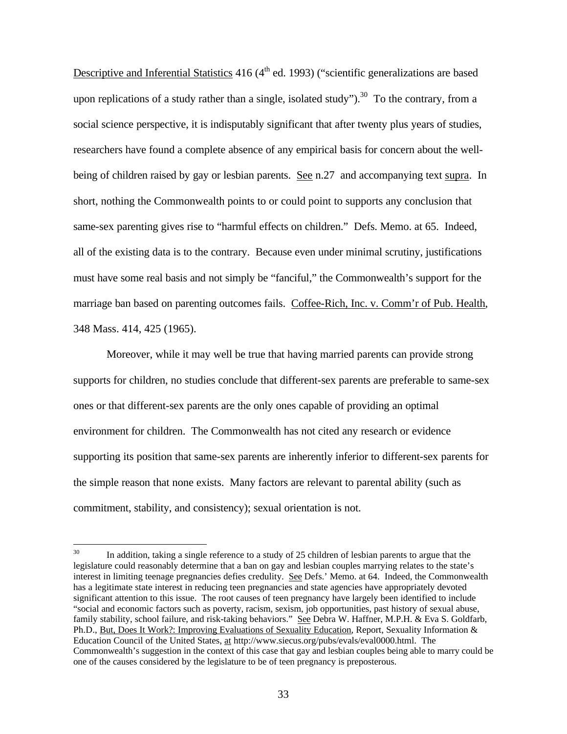Descriptive and Inferential Statistics  $416 (4<sup>th</sup>$  ed. 1993) ("scientific generalizations are based upon replications of a study rather than a single, isolated study").<sup>30</sup> To the contrary, from a social science perspective, it is indisputably significant that after twenty plus years of studies, researchers have found a complete absence of any empirical basis for concern about the wellbeing of children raised by gay or lesbian parents. See n.27 and accompanying text supra. In short, nothing the Commonwealth points to or could point to supports any conclusion that same-sex parenting gives rise to "harmful effects on children." Defs. Memo. at 65. Indeed, all of the existing data is to the contrary. Because even under minimal scrutiny, justifications must have some real basis and not simply be "fanciful," the Commonwealth's support for the marriage ban based on parenting outcomes fails. Coffee-Rich, Inc. v. Comm'r of Pub. Health, 348 Mass. 414, 425 (1965).

Moreover, while it may well be true that having married parents can provide strong supports for children, no studies conclude that different-sex parents are preferable to same-sex ones or that different-sex parents are the only ones capable of providing an optimal environment for children. The Commonwealth has not cited any research or evidence supporting its position that same-sex parents are inherently inferior to different-sex parents for the simple reason that none exists. Many factors are relevant to parental ability (such as commitment, stability, and consistency); sexual orientation is not.

 $30<sup>°</sup>$ In addition, taking a single reference to a study of 25 children of lesbian parents to argue that the legislature could reasonably determine that a ban on gay and lesbian couples marrying relates to the state's interest in limiting teenage pregnancies defies credulity. See Defs.' Memo. at 64. Indeed, the Commonwealth has a legitimate state interest in reducing teen pregnancies and state agencies have appropriately devoted significant attention to this issue. The root causes of teen pregnancy have largely been identified to include "social and economic factors such as poverty, racism, sexism, job opportunities, past history of sexual abuse, family stability, school failure, and risk-taking behaviors." See Debra W. Haffner, M.P.H. & Eva S. Goldfarb, Ph.D., But, Does It Work?: Improving Evaluations of Sexuality Education, Report, Sexuality Information & Education Council of the United States, at http://www.siecus.org/pubs/evals/eval0000.html. The Commonwealth's suggestion in the context of this case that gay and lesbian couples being able to marry could be one of the causes considered by the legislature to be of teen pregnancy is preposterous.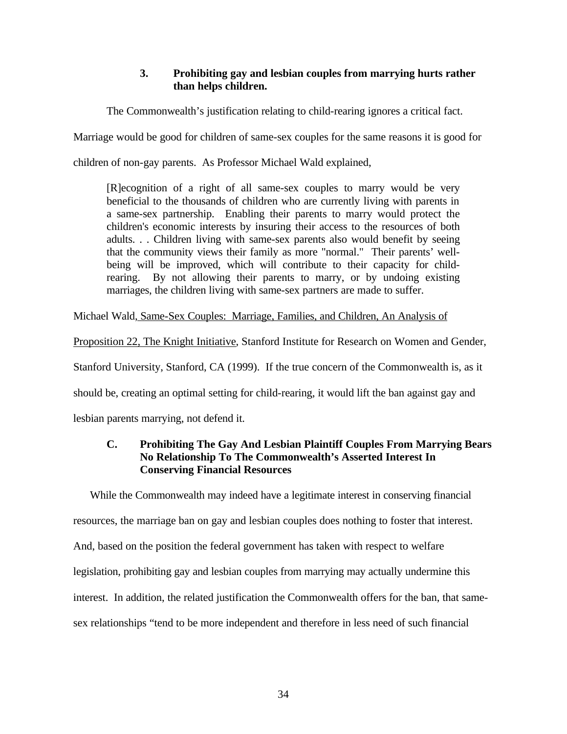## **3. Prohibiting gay and lesbian couples from marrying hurts rather than helps children.**

The Commonwealth's justification relating to child-rearing ignores a critical fact.

Marriage would be good for children of same-sex couples for the same reasons it is good for

children of non-gay parents. As Professor Michael Wald explained,

[R]ecognition of a right of all same-sex couples to marry would be very beneficial to the thousands of children who are currently living with parents in a same-sex partnership. Enabling their parents to marry would protect the children's economic interests by insuring their access to the resources of both adults. . . Children living with same-sex parents also would benefit by seeing that the community views their family as more "normal." Their parents' wellbeing will be improved, which will contribute to their capacity for childrearing. By not allowing their parents to marry, or by undoing existing marriages, the children living with same-sex partners are made to suffer.

Michael Wald, Same-Sex Couples: Marriage, Families, and Children, An Analysis of

Proposition 22, The Knight Initiative, Stanford Institute for Research on Women and Gender, Stanford University, Stanford, CA (1999). If the true concern of the Commonwealth is, as it should be, creating an optimal setting for child-rearing, it would lift the ban against gay and lesbian parents marrying, not defend it.

## **C. Prohibiting The Gay And Lesbian Plaintiff Couples From Marrying Bears No Relationship To The Commonwealth's Asserted Interest In Conserving Financial Resources**

While the Commonwealth may indeed have a legitimate interest in conserving financial resources, the marriage ban on gay and lesbian couples does nothing to foster that interest. And, based on the position the federal government has taken with respect to welfare legislation, prohibiting gay and lesbian couples from marrying may actually undermine this interest. In addition, the related justification the Commonwealth offers for the ban, that samesex relationships "tend to be more independent and therefore in less need of such financial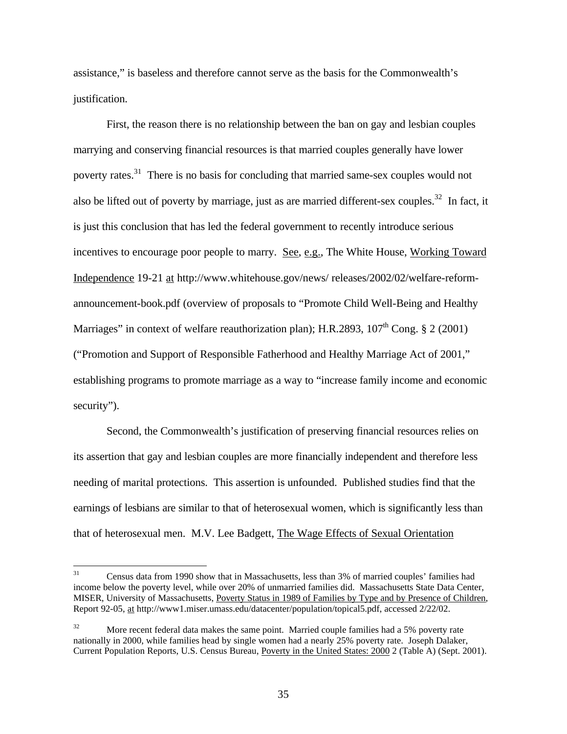assistance," is baseless and therefore cannot serve as the basis for the Commonwealth's justification.

First, the reason there is no relationship between the ban on gay and lesbian couples marrying and conserving financial resources is that married couples generally have lower poverty rates.<sup>31</sup> There is no basis for concluding that married same-sex couples would not also be lifted out of poverty by marriage, just as are married different-sex couples.<sup>32</sup> In fact, it is just this conclusion that has led the federal government to recently introduce serious incentives to encourage poor people to marry. See, e.g., The White House, Working Toward Independence 19-21 at http://www.whitehouse.gov/news/ releases/2002/02/welfare-reformannouncement-book.pdf (overview of proposals to "Promote Child Well-Being and Healthy Marriages" in context of welfare reauthorization plan); H.R.2893,  $107<sup>th</sup>$  Cong. § 2 (2001) ("Promotion and Support of Responsible Fatherhood and Healthy Marriage Act of 2001," establishing programs to promote marriage as a way to "increase family income and economic security").

Second, the Commonwealth's justification of preserving financial resources relies on its assertion that gay and lesbian couples are more financially independent and therefore less needing of marital protections. This assertion is unfounded. Published studies find that the earnings of lesbians are similar to that of heterosexual women, which is significantly less than that of heterosexual men. M.V. Lee Badgett, The Wage Effects of Sexual Orientation

 $31$ <sup>31</sup> Census data from 1990 show that in Massachusetts, less than 3% of married couples' families had income below the poverty level, while over 20% of unmarried families did. Massachusetts State Data Center, MISER, University of Massachusetts, Poverty Status in 1989 of Families by Type and by Presence of Children, Report 92-05, at http://www1.miser.umass.edu/datacenter/population/topical5.pdf, accessed 2/22/02.

 $32$  More recent federal data makes the same point. Married couple families had a 5% poverty rate nationally in 2000, while families head by single women had a nearly 25% poverty rate. Joseph Dalaker, Current Population Reports, U.S. Census Bureau, Poverty in the United States: 2000 2 (Table A) (Sept. 2001).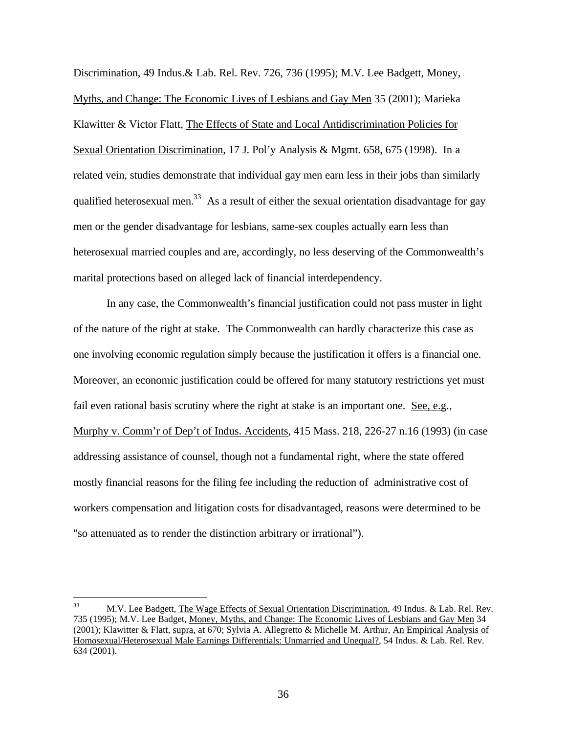Discrimination, 49 Indus.& Lab. Rel. Rev. 726, 736 (1995); M.V. Lee Badgett, Money, Myths, and Change: The Economic Lives of Lesbians and Gay Men 35 (2001); Marieka Klawitter & Victor Flatt, The Effects of State and Local Antidiscrimination Policies for Sexual Orientation Discrimination, 17 J. Pol'y Analysis & Mgmt. 658, 675 (1998). In a related vein, studies demonstrate that individual gay men earn less in their jobs than similarly qualified heterosexual men.<sup>33</sup> As a result of either the sexual orientation disadvantage for gay men or the gender disadvantage for lesbians, same-sex couples actually earn less than heterosexual married couples and are, accordingly, no less deserving of the Commonwealth's marital protections based on alleged lack of financial interdependency.

In any case, the Commonwealth's financial justification could not pass muster in light of the nature of the right at stake. The Commonwealth can hardly characterize this case as one involving economic regulation simply because the justification it offers is a financial one. Moreover, an economic justification could be offered for many statutory restrictions yet must fail even rational basis scrutiny where the right at stake is an important one. See, e.g., Murphy v. Comm'r of Dep't of Indus. Accidents, 415 Mass. 218, 226-27 n.16 (1993) (in case addressing assistance of counsel, though not a fundamental right, where the state offered mostly financial reasons for the filing fee including the reduction of administrative cost of workers compensation and litigation costs for disadvantaged, reasons were determined to be "so attenuated as to render the distinction arbitrary or irrational").

<sup>33</sup> <sup>33</sup> M.V. Lee Badgett, The Wage Effects of Sexual Orientation Discrimination, 49 Indus. & Lab. Rel. Rev. 735 (1995); M.V. Lee Badget, Money, Myths, and Change: The Economic Lives of Lesbians and Gay Men 34 (2001); Klawitter & Flatt, supra, at 670; Sylvia A. Allegretto & Michelle M. Arthur, An Empirical Analysis of Homosexual/Heterosexual Male Earnings Differentials: Unmarried and Unequal?, 54 Indus. & Lab. Rel. Rev. 634 (2001).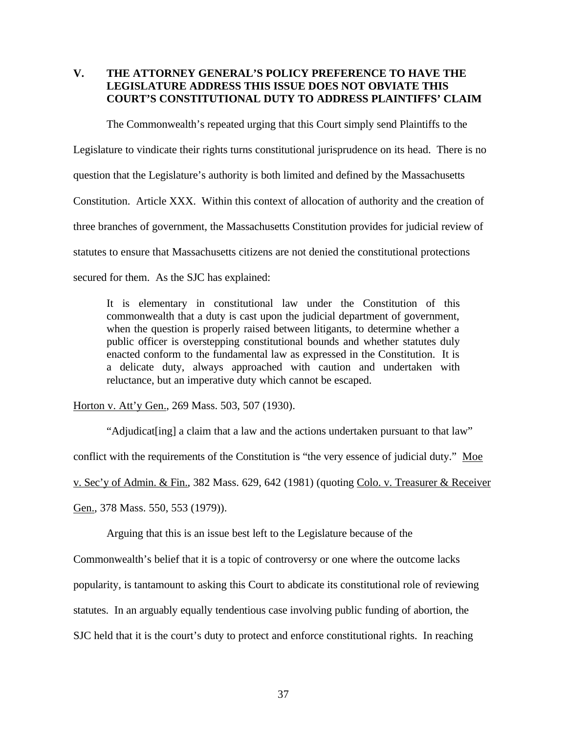## **V. THE ATTORNEY GENERAL'S POLICY PREFERENCE TO HAVE THE LEGISLATURE ADDRESS THIS ISSUE DOES NOT OBVIATE THIS COURT'S CONSTITUTIONAL DUTY TO ADDRESS PLAINTIFFS' CLAIM**

The Commonwealth's repeated urging that this Court simply send Plaintiffs to the Legislature to vindicate their rights turns constitutional jurisprudence on its head. There is no question that the Legislature's authority is both limited and defined by the Massachusetts Constitution. Article XXX. Within this context of allocation of authority and the creation of three branches of government, the Massachusetts Constitution provides for judicial review of statutes to ensure that Massachusetts citizens are not denied the constitutional protections secured for them. As the SJC has explained:

It is elementary in constitutional law under the Constitution of this commonwealth that a duty is cast upon the judicial department of government, when the question is properly raised between litigants, to determine whether a public officer is overstepping constitutional bounds and whether statutes duly enacted conform to the fundamental law as expressed in the Constitution. It is a delicate duty, always approached with caution and undertaken with reluctance, but an imperative duty which cannot be escaped.

Horton v. Att'y Gen., 269 Mass. 503, 507 (1930).

"Adjudicat[ing] a claim that a law and the actions undertaken pursuant to that law" conflict with the requirements of the Constitution is "the very essence of judicial duty." Moe v. Sec'y of Admin. & Fin., 382 Mass. 629, 642 (1981) (quoting Colo. v. Treasurer & Receiver Gen., 378 Mass. 550, 553 (1979)).

Arguing that this is an issue best left to the Legislature because of the

Commonwealth's belief that it is a topic of controversy or one where the outcome lacks

popularity, is tantamount to asking this Court to abdicate its constitutional role of reviewing

statutes. In an arguably equally tendentious case involving public funding of abortion, the

SJC held that it is the court's duty to protect and enforce constitutional rights. In reaching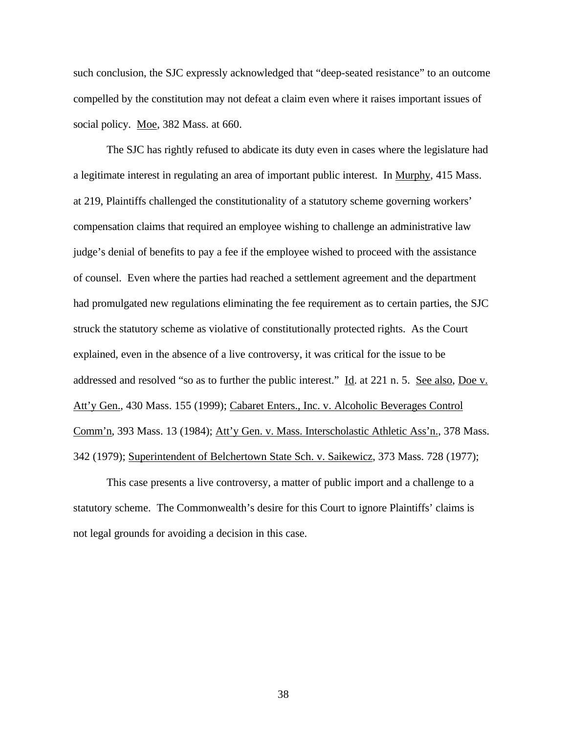such conclusion, the SJC expressly acknowledged that "deep-seated resistance" to an outcome compelled by the constitution may not defeat a claim even where it raises important issues of social policy. Moe, 382 Mass. at 660.

The SJC has rightly refused to abdicate its duty even in cases where the legislature had a legitimate interest in regulating an area of important public interest. In Murphy, 415 Mass. at 219, Plaintiffs challenged the constitutionality of a statutory scheme governing workers' compensation claims that required an employee wishing to challenge an administrative law judge's denial of benefits to pay a fee if the employee wished to proceed with the assistance of counsel. Even where the parties had reached a settlement agreement and the department had promulgated new regulations eliminating the fee requirement as to certain parties, the SJC struck the statutory scheme as violative of constitutionally protected rights. As the Court explained, even in the absence of a live controversy, it was critical for the issue to be addressed and resolved "so as to further the public interest." Id. at 221 n. 5. See also, Doe v. Att'y Gen., 430 Mass. 155 (1999); Cabaret Enters., Inc. v. Alcoholic Beverages Control Comm'n, 393 Mass. 13 (1984); Att'y Gen. v. Mass. Interscholastic Athletic Ass'n., 378 Mass. 342 (1979); Superintendent of Belchertown State Sch. v. Saikewicz, 373 Mass. 728 (1977);

This case presents a live controversy, a matter of public import and a challenge to a statutory scheme. The Commonwealth's desire for this Court to ignore Plaintiffs' claims is not legal grounds for avoiding a decision in this case.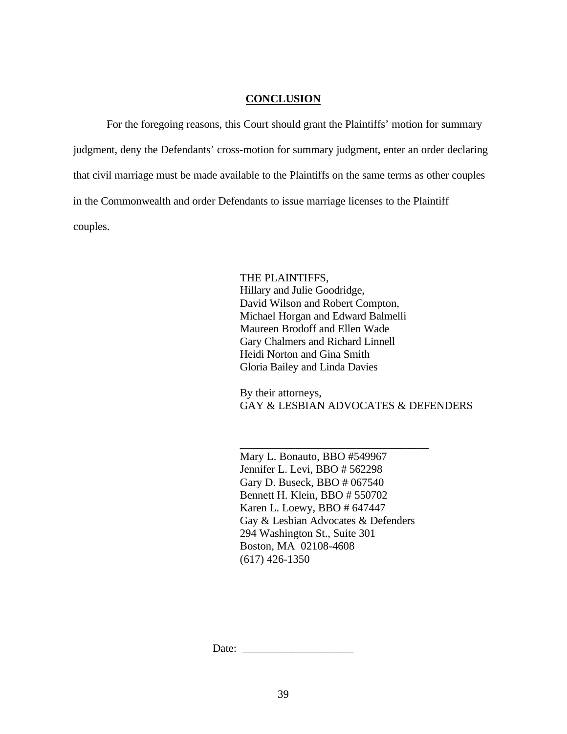#### **CONCLUSION**

For the foregoing reasons, this Court should grant the Plaintiffs' motion for summary judgment, deny the Defendants' cross-motion for summary judgment, enter an order declaring that civil marriage must be made available to the Plaintiffs on the same terms as other couples in the Commonwealth and order Defendants to issue marriage licenses to the Plaintiff couples.

> THE PLAINTIFFS, Hillary and Julie Goodridge, David Wilson and Robert Compton, Michael Horgan and Edward Balmelli Maureen Brodoff and Ellen Wade Gary Chalmers and Richard Linnell Heidi Norton and Gina Smith Gloria Bailey and Linda Davies

By their attorneys, GAY & LESBIAN ADVOCATES & DEFENDERS

Mary L. Bonauto, BBO #549967 Jennifer L. Levi, BBO # 562298 Gary D. Buseck, BBO # 067540 Bennett H. Klein, BBO # 550702 Karen L. Loewy, BBO # 647447 Gay & Lesbian Advocates & Defenders 294 Washington St., Suite 301 Boston, MA 02108-4608 (617) 426-1350

\_\_\_\_\_\_\_\_\_\_\_\_\_\_\_\_\_\_\_\_\_\_\_\_\_\_\_\_\_\_\_\_\_\_

Date: